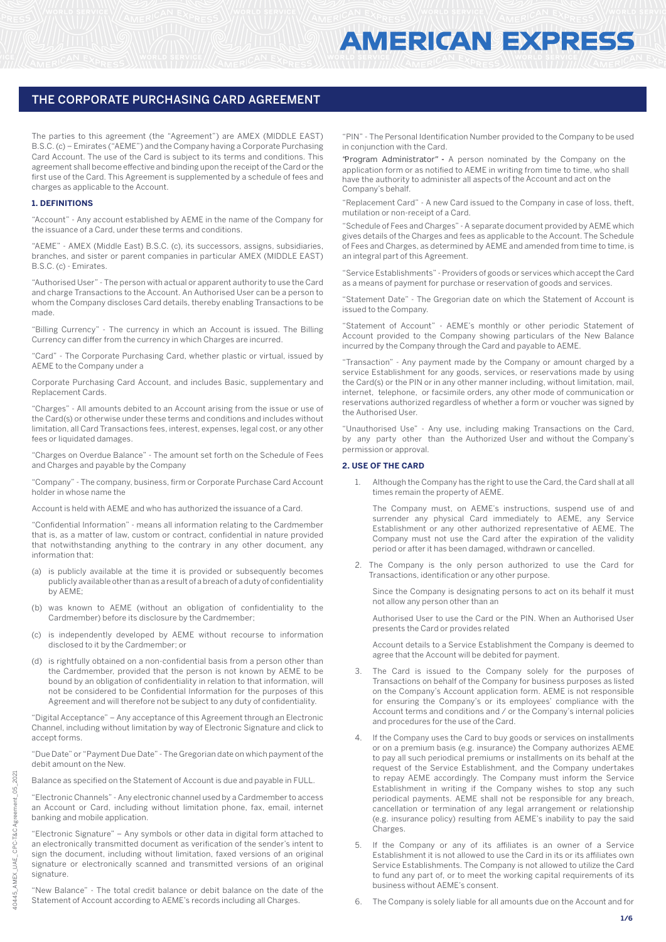The parties to this agreement (the "Agreement") are AMEX (MIDDLE EAST) B.S.C. (c) – Emirates ("AEME") and the Company having a Corporate Purchasing Card Account. The use of the Card is subject to its terms and conditions. This agreement shall become effective and binding upon the receipt of the Card or the first use of the Card. This Agreement is supplemented by a schedule of fees and charges as applicable to the Account.

#### **1. DEFINITIONS**

"Account" - Any account established by AEME in the name of the Company for the issuance of a Card, under these terms and conditions.

"AEME" - AMEX (Middle East) B.S.C. (c), its successors, assigns, subsidiaries, branches, and sister or parent companies in particular AMEX (MIDDLE EAST) B.S.C. (c) - Emirates.

"Authorised User" - The person with actual or apparent authority to use the Card and charge Transactions to the Account. An Authorised User can be a person to whom the Company discloses Card details, thereby enabling Transactions to be made.

"Billing Currency" - The currency in which an Account is issued. The Billing Currency can differ from the currency in which Charges are incurred.

"Card" - The Corporate Purchasing Card, whether plastic or virtual, issued by AEME to the Company under a

Corporate Purchasing Card Account, and includes Basic, supplementary and Replacement Cards.

"Charges" - All amounts debited to an Account arising from the issue or use of the Card(s) or otherwise under these terms and conditions and includes without limitation, all Card Transactions fees, interest, expenses, legal cost, or any other fees or liquidated damages.

"Charges on Overdue Balance" - The amount set forth on the Schedule of Fees and Charges and payable by the Company

"Company" - The company, business, firm or Corporate Purchase Card Account holder in whose name the

Account is held with AEME and who has authorized the issuance of a Card.

"Confidential Information" - means all information relating to the Cardmember that is, as a matter of law, custom or contract, confidential in nature provided that notwithstanding anything to the contrary in any other document, any information that:

- (a) is publicly available at the time it is provided or subsequently becomes publicly available other than as a result of a breach of a duty of confidentiality by AEME;
- (b) was known to AEME (without an obligation of confidentiality to the Cardmember) before its disclosure by the Cardmember;
- (c) is independently developed by AEME without recourse to information disclosed to it by the Cardmember; or
- (d) is rightfully obtained on a non-confidential basis from a person other than the Cardmember, provided that the person is not known by AEME to be bound by an obligation of confidentiality in relation to that information, will not be considered to be Confidential Information for the purposes of this Agreement and will therefore not be subject to any duty of confidentiality.

"Digital Acceptance" – Any acceptance of this Agreement through an Electronic Channel, including without limitation by way of Electronic Signature and click to accept forms.

"Due Date" or "Payment Due Date" - The Gregorian date on which payment of the debit amount on the New.

Balance as specified on the Statement of Account is due and payable in FULL.

"Electronic Channels" - Any electronic channel used by a Cardmember to access an Account or Card, including without limitation phone, fax, email, internet banking and mobile application.

"Electronic Signature" – Any symbols or other data in digital form attached to an electronically transmitted document as verification of the sender's intent to sign the document, including without limitation, faxed versions of an original signature or electronically scanned and transmitted versions of an original signature.

"New Balance" - The total credit balance or debit balance on the date of the Statement of Account according to AEME's records including all Charges.

"PIN" - The Personal Identification Number provided to the Company to be used in conjunction with the Card.

application form or as notified to AEME in writing from time to time, who shall have the authority to administer all aspects of the Account and act on the "Program Administrator" **-** A person nominated by the Company on the Company's behalf.

"Replacement Card" - A new Card issued to the Company in case of loss, theft, mutilation or non-receipt of a Card.

"Schedule of Fees and Charges" - A separate document provided by AEME which gives details of the Charges and fees as applicable to the Account. The Schedule of Fees and Charges, as determined by AEME and amended from time to time, is an integral part of this Agreement.

"Service Establishments" - Providers of goods or services which accept the Card as a means of payment for purchase or reservation of goods and services.

"Statement Date" - The Gregorian date on which the Statement of Account is issued to the Company.

"Statement of Account" - AEME's monthly or other periodic Statement of Account provided to the Company showing particulars of the New Balance incurred by the Company through the Card and payable to AEME.

"Transaction" - Any payment made by the Company or amount charged by a service Establishment for any goods, services, or reservations made by using the Card(s) or the PIN or in any other manner including, without limitation, mail, internet, telephone, or facsimile orders, any other mode of communication or reservations authorized regardless of whether a form or voucher was signed by the Authorised User.

"Unauthorised Use" - Any use, including making Transactions on the Card, by any party other than the Authorized User and without the Company's permission or approval.

#### **2. USE OF THE CARD**

1. Although the Company has the right to use the Card, the Card shall at all times remain the property of AEME.

 The Company must, on AEME's instructions, suspend use of and surrender any physical Card immediately to AEME, any Service Establishment or any other authorized representative of AEME. The Company must not use the Card after the expiration of the validity period or after it has been damaged, withdrawn or cancelled.

2. The Company is the only person authorized to use the Card for Transactions, identification or any other purpose.

 Since the Company is designating persons to act on its behalf it must not allow any person other than an

 Authorised User to use the Card or the PIN. When an Authorised User presents the Card or provides related

 Account details to a Service Establishment the Company is deemed to agree that the Account will be debited for payment.

- The Card is issued to the Company solely for the purposes of Transactions on behalf of the Company for business purposes as listed on the Company's Account application form. AEME is not responsible for ensuring the Company's or its employees' compliance with the Account terms and conditions and / or the Company's internal policies and procedures for the use of the Card.
- If the Company uses the Card to buy goods or services on installments or on a premium basis (e.g. insurance) the Company authorizes AEME to pay all such periodical premiums or installments on its behalf at the request of the Service Establishment, and the Company undertakes to repay AEME accordingly. The Company must inform the Service Establishment in writing if the Company wishes to stop any such periodical payments. AEME shall not be responsible for any breach, cancellation or termination of any legal arrangement or relationship (e.g. insurance policy) resulting from AEME's inability to pay the said **Charges**
- If the Company or any of its affiliates is an owner of a Service Establishment it is not allowed to use the Card in its or its affiliates own Service Establishments. The Company is not allowed to utilize the Card to fund any part of, or to meet the working capital requirements of its business without AEME's consent.
- 6. The Company is solely liable for all amounts due on the Account and for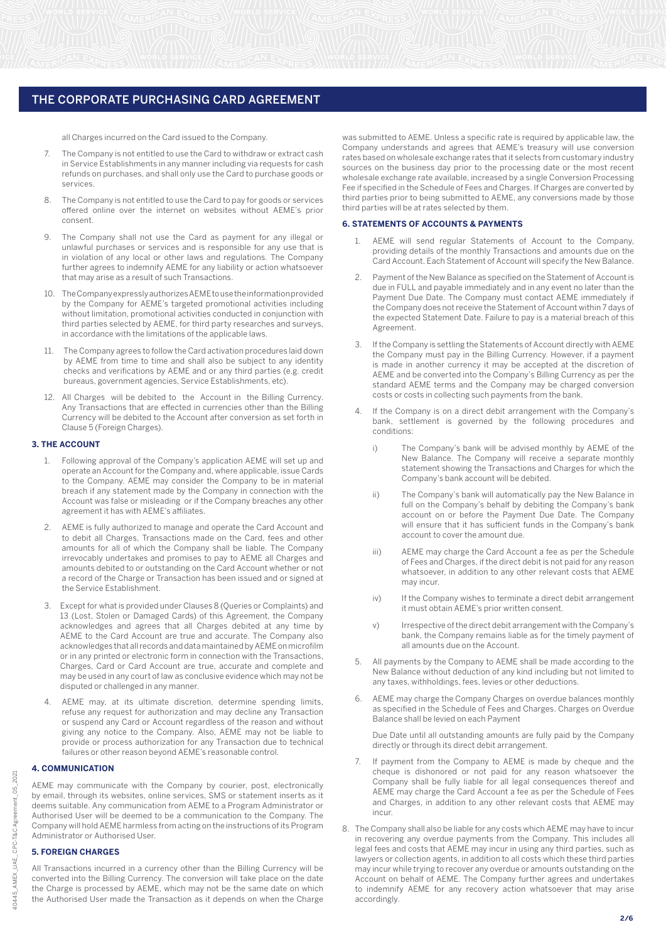all Charges incurred on the Card issued to the Company.

- 7. The Company is not entitled to use the Card to withdraw or extract cash in Service Establishments in any manner including via requests for cash refunds on purchases, and shall only use the Card to purchase goods or services.
- 8. The Company is not entitled to use the Card to pay for goods or services offered online over the internet on websites without AEME's prior consent.
- 9. The Company shall not use the Card as payment for any illegal or unlawful purchases or services and is responsible for any use that is in violation of any local or other laws and regulations. The Company further agrees to indemnify AEME for any liability or action whatsoever that may arise as a result of such Transactions.
- 10. The Company expressly authorizes AEME to use the information provided by the Company for AEME's targeted promotional activities including without limitation, promotional activities conducted in conjunction with third parties selected by AEME, for third party researches and surveys, in accordance with the limitations of the applicable laws.
- 11. The Company agrees to follow the Card activation procedures laid down by AEME from time to time and shall also be subject to any identity checks and verifications by AEME and or any third parties (e.g. credit bureaus, government agencies, Service Establishments, etc).
- 12. All Charges will be debited to the Account in the Billing Currency. Any Transactions that are effected in currencies other than the Billing Currency will be debited to the Account after conversion as set forth in Clause 5 (Foreign Charges).

## **3. THE ACCOUNT**

- 1. Following approval of the Company's application AEME will set up and operate an Account for the Company and, where applicable, issue Cards to the Company. AEME may consider the Company to be in material breach if any statement made by the Company in connection with the Account was false or misleading or if the Company breaches any other agreement it has with AEME's affiliates.
- 2. AEME is fully authorized to manage and operate the Card Account and to debit all Charges, Transactions made on the Card, fees and other amounts for all of which the Company shall be liable. The Company irrevocably undertakes and promises to pay to AEME all Charges and amounts debited to or outstanding on the Card Account whether or not a record of the Charge or Transaction has been issued and or signed at the Service Establishment.
- 3. Except for what is provided under Clauses 8 (Queries or Complaints) and 13 (Lost, Stolen or Damaged Cards) of this Agreement, the Company acknowledges and agrees that all Charges debited at any time by AEME to the Card Account are true and accurate. The Company also acknowledges that all records and data maintained by AEME on microfilm or in any printed or electronic form in connection with the Transactions, Charges, Card or Card Account are true, accurate and complete and may be used in any court of law as conclusive evidence which may not be disputed or challenged in any manner.
- 4. AEME may, at its ultimate discretion, determine spending limits, refuse any request for authorization and may decline any Transaction or suspend any Card or Account regardless of the reason and without giving any notice to the Company. Also, AEME may not be liable to provide or process authorization for any Transaction due to technical failures or other reason beyond AEME's reasonable control.

#### **4. COMMUNICATION**

AEME may communicate with the Company by courier, post, electronically by email, through its websites, online services, SMS or statement inserts as it deems suitable. Any communication from AEME to a Program Administrator or Authorised User will be deemed to be a communication to the Company. The Company will hold AEME harmless from acting on the instructions of its Program Administrator or Authorised User.

# **5. FOREIGN CHARGES**

All Transactions incurred in a currency other than the Billing Currency will be converted into the Billing Currency. The conversion will take place on the date the Charge is processed by AEME, which may not be the same date on which the Authorised User made the Transaction as it depends on when the Charge

was submitted to AEME. Unless a specific rate is required by applicable law, the Company understands and agrees that AEME's treasury will use conversion rates based on wholesale exchange rates that it selects from customary industry sources on the business day prior to the processing date or the most recent wholesale exchange rate available, increased by a single Conversion Processing Fee if specified in the Schedule of Fees and Charges. If Charges are converted by third parties prior to being submitted to AEME, any conversions made by those third parties will be at rates selected by them.

## **6. STATEMENTS OF ACCOUNTS & PAYMENTS**

- 1. AEME will send regular Statements of Account to the Company, providing details of the monthly Transactions and amounts due on the Card Account. Each Statement of Account will specify the New Balance.
- 2. Payment of the New Balance as specified on the Statement of Account is due in FULL and payable immediately and in any event no later than the Payment Due Date. The Company must contact AEME immediately if the Company does not receive the Statement of Account within 7 days of the expected Statement Date. Failure to pay is a material breach of this Agreement.
- If the Company is settling the Statements of Account directly with AEME the Company must pay in the Billing Currency. However, if a payment is made in another currency it may be accepted at the discretion of AEME and be converted into the Company's Billing Currency as per the standard AEME terms and the Company may be charged conversion costs or costs in collecting such payments from the bank.
- If the Company is on a direct debit arrangement with the Company's bank, settlement is governed by the following procedures and conditions:
	- i) The Company's bank will be advised monthly by AEME of the New Balance. The Company will receive a separate monthly statement showing the Transactions and Charges for which the Company's bank account will be debited.
	- ii) The Company's bank will automatically pay the New Balance in full on the Company's behalf by debiting the Company's bank account on or before the Payment Due Date. The Company will ensure that it has sufficient funds in the Company's bank account to cover the amount due.
	- iii) AEME may charge the Card Account a fee as per the Schedule of Fees and Charges, if the direct debit is not paid for any reason whatsoever, in addition to any other relevant costs that AEME may incur.
	- iv) If the Company wishes to terminate a direct debit arrangement it must obtain AEME's prior written consent.
	- v) Irrespective of the direct debit arrangement with the Company's bank, the Company remains liable as for the timely payment of all amounts due on the Account.
- 5. All payments by the Company to AEME shall be made according to the New Balance without deduction of any kind including but not limited to any taxes, withholdings, fees, levies or other deductions.
- 6. AEME may charge the Company Charges on overdue balances monthly as specified in the Schedule of Fees and Charges. Charges on Overdue Balance shall be levied on each Payment

 Due Date until all outstanding amounts are fully paid by the Company directly or through its direct debit arrangement.

- 7. If payment from the Company to AEME is made by cheque and the cheque is dishonored or not paid for any reason whatsoever the Company shall be fully liable for all legal consequences thereof and AEME may charge the Card Account a fee as per the Schedule of Fees and Charges, in addition to any other relevant costs that AEME may incur.
- 8. The Company shall also be liable for any costs which AEME may have to incur in recovering any overdue payments from the Company. This includes all legal fees and costs that AEME may incur in using any third parties, such as lawyers or collection agents, in addition to all costs which these third parties may incur while trying to recover any overdue or amounts outstanding on the Account on behalf of AEME. The Company further agrees and undertakes to indemnify AEME for any recovery action whatsoever that may arise accordingly.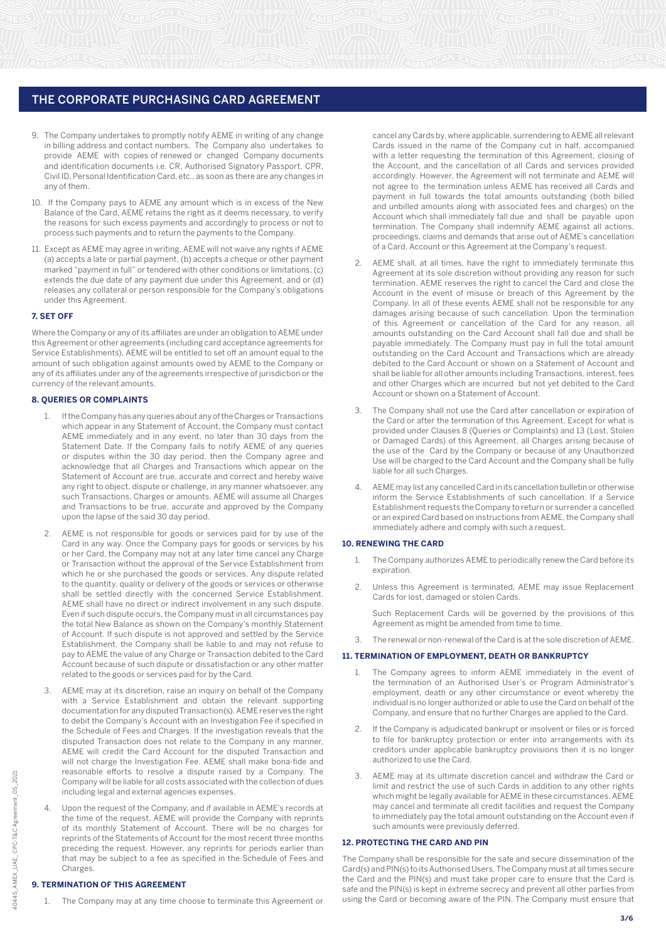- 9. The Company undertakes to promptly notify AEME in writing of any change in billing address and contact numbers. The Company also undertakes to provide AEME with copies of renewed or changed Company documents and identification documents i.e. CR, Authorised Signatory Passport, CPR, Civil ID, Personal Identification Card, etc., as soon as there are any changes in any of them.
- 10. If the Company pays to AEME any amount which is in excess of the New Balance of the Card, AEME retains the right as it deems necessary, to verify the reasons for such excess payments and accordingly to process or not to process such payments and to return the payments to the Company.
- 11. Except as AEME may agree in writing, AEME will not waive any rights if AEME (a) accepts a late or partial payment, (b) accepts a cheque or other payment marked "payment in full" or tendered with other conditions or limitations, (c) extends the due date of any payment due under this Agreement, and or (d) releases any collateral or person responsible for the Company's obligations under this Agreement.

#### **7. SET OFF**

Where the Company or any of its affiliates are under an obligation to AEME under this Agreement or other agreements (including card acceptance agreements for Service Establishments), AEME will be entitled to set off an amount equal to the amount of such obligation against amounts owed by AEME to the Company or any of its affiliates under any of the agreements irrespective of jurisdiction or the currency of the relevant amounts.

#### **8. QUERIES OR COMPLAINTS**

- 1. If the Company has any queries about any of the Charges or Transactions which appear in any Statement of Account, the Company must contact AEME immediately and in any event, no later than 30 days from the Statement Date. If the Company fails to notify AEME of any queries or disputes within the 30 day period, then the Company agree and acknowledge that all Charges and Transactions which appear on the Statement of Account are true, accurate and correct and hereby waive any right to object, dispute or challenge, in any manner whatsoever, any such Transactions, Charges or amounts. AEME will assume all Charges and Transactions to be true, accurate and approved by the Company upon the lapse of the said 30 day period.
- AEME is not responsible for goods or services paid for by use of the Card in any way. Once the Company pays for goods or services by his or her Card, the Company may not at any later time cancel any Charge or Transaction without the approval of the Service Establishment from which he or she purchased the goods or services. Any dispute related to the quantity, quality or delivery of the goods or services or otherwise shall be settled directly with the concerned Service Establishment. AEME shall have no direct or indirect involvement in any such dispute. Even if such dispute occurs, the Company must in all circumstances pay the total New Balance as shown on the Company's monthly Statement of Account. If such dispute is not approved and settled by the Service Establishment, the Company shall be liable to and may not refuse to pay to AEME the value of any Charge or Transaction debited to the Card Account because of such dispute or dissatisfaction or any other matter related to the goods or services paid for by the Card.
- AEME may at its discretion, raise an inquiry on behalf of the Company with a Service Establishment and obtain the relevant supporting documentation for any disputed Transaction(s). AEME reserves the right to debit the Company's Account with an Investigation Fee if specified in the Schedule of Fees and Charges. If the investigation reveals that the disputed Transaction does not relate to the Company in any manner, AEME will credit the Card Account for the disputed Transaction and will not charge the Investigation Fee. AEME shall make bona-fide and reasonable efforts to resolve a dispute raised by a Company. The Company will be liable for all costs associated with the collection of dues including legal and external agencies expenses.
- 4. Upon the request of the Company, and if available in AEME's records at the time of the request, AEME will provide the Company with reprints of its monthly Statement of Account. There will be no charges for reprints of the Statements of Account for the most recent three months preceding the request. However, any reprints for periods earlier than that may be subject to a fee as specified in the Schedule of Fees and Charges.

#### **9. TERMINATION OF THIS AGREEMENT**

The Company may at any time choose to terminate this Agreement or

cancel any Cards by, where applicable, surrendering to AEME all relevant Cards issued in the name of the Company cut in half, accompanied with a letter requesting the termination of this Agreement, closing of the Account, and the cancellation of all Cards and services provided accordingly. However, the Agreement will not terminate and AEME will not agree to the termination unless AEME has received all Cards and payment in full towards the total amounts outstanding (both billed and unbilled amounts along with associated fees and charges) on the Account which shall immediately fall due and shall be payable upon termination. The Company shall indemnify AEME against all actions, proceedings, claims and demands that arise out of AEME's cancellation of a Card, Account or this Agreement at the Company's request.

- AEME shall, at all times, have the right to immediately terminate this Agreement at its sole discretion without providing any reason for such termination. AEME reserves the right to cancel the Card and close the Account in the event of misuse or breach of this Agreement by the Company. In all of these events AEME shall not be responsible for any damages arising because of such cancellation. Upon the termination of this Agreement or cancellation of the Card for any reason, all amounts outstanding on the Card Account shall fall due and shall be payable immediately. The Company must pay in full the total amount outstanding on the Card Account and Transactions which are already debited to the Card Account or shown on a Statement of Account and shall be liable for all other amounts including Transactions, interest, fees and other Charges which are incurred but not yet debited to the Card Account or shown on a Statement of Account.
- 3. The Company shall not use the Card after cancellation or expiration of the Card or after the termination of this Agreement. Except for what is provided under Clauses 8 (Queries or Complaints) and 13 (Lost, Stolen or Damaged Cards) of this Agreement, all Charges arising because of the use of the Card by the Company or because of any Unauthorized Use will be charged to the Card Account and the Company shall be fully liable for all such Charges.
- 4. AEME may list any cancelled Card in its cancellation bulletin or otherwise inform the Service Establishments of such cancellation. If a Service Establishment requests the Company to return or surrender a cancelled or an expired Card based on instructions from AEME, the Company shall immediately adhere and comply with such a request.

#### **10. RENEWING THE CARD**

- 1. The Company authorizes AEME to periodically renew the Card before its expiration.
- 2. Unless this Agreement is terminated, AEME may issue Replacement Cards for lost, damaged or stolen Cards.

 Such Replacement Cards will be governed by the provisions of this Agreement as might be amended from time to time.

The renewal or non-renewal of the Card is at the sole discretion of AEME.

## **11. TERMINATION OF EMPLOYMENT, DEATH OR BANKRUPTCY**

- The Company agrees to inform AEME immediately in the event of the termination of an Authorised User's or Program Administrator's employment, death or any other circumstance or event whereby the individual is no longer authorized or able to use the Card on behalf of the Company, and ensure that no further Charges are applied to the Card.
- 2. If the Company is adjudicated bankrupt or insolvent or files or is forced to file for bankruptcy protection or enter into arrangements with its creditors under applicable bankruptcy provisions then it is no longer authorized to use the Card.
- 3. AEME may at its ultimate discretion cancel and withdraw the Card or limit and restrict the use of such Cards in addition to any other rights which might be legally available for AEME in these circumstances. AEME may cancel and terminate all credit facilities and request the Company to immediately pay the total amount outstanding on the Account even if such amounts were previously deferred.

# **12. PROTECTING THE CARD AND PIN**

The Company shall be responsible for the safe and secure dissemination of the Card(s) and PIN(s) to its Authorised Users. The Company must at all times secure the Card and the PIN(s) and must take proper care to ensure that the Card is safe and the PIN(s) is kept in extreme secrecy and prevent all other parties from using the Card or becoming aware of the PIN. The Company must ensure that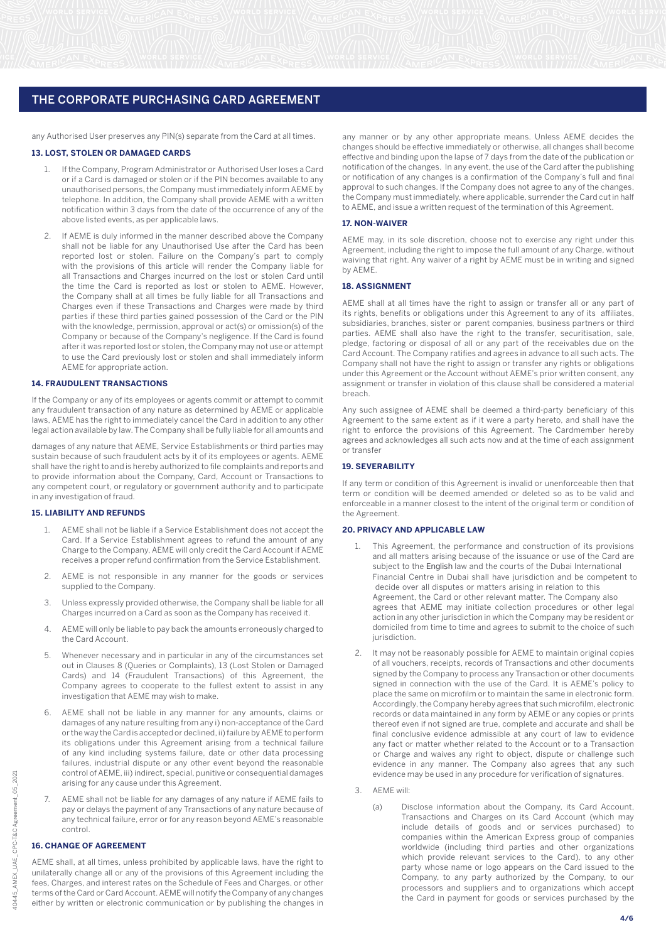any Authorised User preserves any PIN(s) separate from the Card at all times.

#### **13. LOST, STOLEN OR DAMAGED CARDS**

- If the Company, Program Administrator or Authorised User loses a Card or if a Card is damaged or stolen or if the PIN becomes available to any unauthorised persons, the Company must immediately inform AEME by telephone. In addition, the Company shall provide AEME with a written notification within 3 days from the date of the occurrence of any of the above listed events, as per applicable laws.
- If AEME is duly informed in the manner described above the Company shall not be liable for any Unauthorised Use after the Card has been reported lost or stolen. Failure on the Company's part to comply with the provisions of this article will render the Company liable for all Transactions and Charges incurred on the lost or stolen Card until the time the Card is reported as lost or stolen to AEME. However, the Company shall at all times be fully liable for all Transactions and Charges even if these Transactions and Charges were made by third parties if these third parties gained possession of the Card or the PIN with the knowledge, permission, approval or act(s) or omission(s) of the Company or because of the Company's negligence. If the Card is found after it was reported lost or stolen, the Company may not use or attempt to use the Card previously lost or stolen and shall immediately inform AEME for appropriate action.

#### **14. FRAUDULENT TRANSACTIONS**

If the Company or any of its employees or agents commit or attempt to commit any fraudulent transaction of any nature as determined by AEME or applicable laws, AEME has the right to immediately cancel the Card in addition to any other legal action available by law. The Company shall be fully liable for all amounts and

damages of any nature that AEME, Service Establishments or third parties may sustain because of such fraudulent acts by it of its employees or agents. AEME shall have the right to and is hereby authorized to file complaints and reports and to provide information about the Company, Card, Account or Transactions to any competent court, or regulatory or government authority and to participate in any investigation of fraud.

## **15. LIABILITY AND REFUNDS**

- 1. AEME shall not be liable if a Service Establishment does not accept the Card. If a Service Establishment agrees to refund the amount of any Charge to the Company, AEME will only credit the Card Account if AEME receives a proper refund confirmation from the Service Establishment.
- 2. AEME is not responsible in any manner for the goods or services supplied to the Company.
- 3. Unless expressly provided otherwise, the Company shall be liable for all Charges incurred on a Card as soon as the Company has received it.
- 4. AEME will only be liable to pay back the amounts erroneously charged to the Card Account.
- 5. Whenever necessary and in particular in any of the circumstances set out in Clauses 8 (Queries or Complaints), 13 (Lost Stolen or Damaged Cards) and 14 (Fraudulent Transactions) of this Agreement, the Company agrees to cooperate to the fullest extent to assist in any investigation that AEME may wish to make.
- AEME shall not be liable in any manner for any amounts, claims or damages of any nature resulting from any i) non-acceptance of the Card or the way the Card is accepted or declined, ii) failure by AEME to perform its obligations under this Agreement arising from a technical failure of any kind including systems failure, date or other data processing failures, industrial dispute or any other event beyond the reasonable control of AEME, iii) indirect, special, punitive or consequential damages arising for any cause under this Agreement.
- 7. AEME shall not be liable for any damages of any nature if AEME fails to pay or delays the payment of any Transactions of any nature because of any technical failure, error or for any reason beyond AEME's reasonable control.

# **16. CHANGE OF AGREEMENT**

AEME shall, at all times, unless prohibited by applicable laws, have the right to unilaterally change all or any of the provisions of this Agreement including the fees, Charges, and interest rates on the Schedule of Fees and Charges, or other terms of the Card or Card Account. AEME will notify the Company of any changes either by written or electronic communication or by publishing the changes in

any manner or by any other appropriate means. Unless AEME decides the changes should be effective immediately or otherwise, all changes shall become effective and binding upon the lapse of  $\overline{7}$  days from the date of the publication or notification of the changes. In any event, the use of the Card after the publishing or notification of any changes is a confirmation of the Company's full and final approval to such changes. If the Company does not agree to any of the changes, the Company must immediately, where applicable, surrender the Card cut in half to AEME, and issue a written request of the termination of this Agreement.

#### **17. NON-WAIVER**

AEME may, in its sole discretion, choose not to exercise any right under this Agreement, including the right to impose the full amount of any Charge, without waiving that right. Any waiver of a right by AEME must be in writing and signed by AEME.

#### **18. ASSIGNMENT**

AEME shall at all times have the right to assign or transfer all or any part of its rights, benefits or obligations under this Agreement to any of its affiliates, subsidiaries, branches, sister or parent companies, business partners or third parties. AEME shall also have the right to the transfer, securitisation, sale, pledge, factoring or disposal of all or any part of the receivables due on the Card Account. The Company ratifies and agrees in advance to all such acts. The Company shall not have the right to assign or transfer any rights or obligations under this Agreement or the Account without AEME's prior written consent, any assignment or transfer in violation of this clause shall be considered a material breach.

Any such assignee of AEME shall be deemed a third-party beneficiary of this Agreement to the same extent as if it were a party hereto, and shall have the right to enforce the provisions of this Agreement. The Cardmember hereby agrees and acknowledges all such acts now and at the time of each assignment or transfer

#### **19. SEVERABILITY**

If any term or condition of this Agreement is invalid or unenforceable then that term or condition will be deemed amended or deleted so as to be valid and enforceable in a manner closest to the intent of the original term or condition of the Agreement.

#### **20. PRIVACY AND APPLICABLE LAW**

- 1. This Agreement, the performance and construction of its provisions and all matters arising because of the issuance or use of the Card are subject to the English law and the courts of the Dubai International Financial Centre in Dubai shall have jurisdiction and be competent to decide over all disputes or matters arising in relation to this Agreement, the Card or other relevant matter. The Company also agrees that AEME may initiate collection procedures or other legal action in any other jurisdiction in which the Company may be resident or domiciled from time to time and agrees to submit to the choice of such jurisdiction.
- It may not be reasonably possible for AEME to maintain original copies of all vouchers, receipts, records of Transactions and other documents signed by the Company to process any Transaction or other documents signed in connection with the use of the Card. It is AEME's policy to place the same on microfilm or to maintain the same in electronic form. Accordingly, the Company hereby agrees that such microfilm, electronic records or data maintained in any form by AEME or any copies or prints thereof even if not signed are true, complete and accurate and shall be final conclusive evidence admissible at any court of law to evidence any fact or matter whether related to the Account or to a Transaction or Charge and waives any right to object, dispute or challenge such evidence in any manner. The Company also agrees that any such evidence may be used in any procedure for verification of signatures.
- 3. AEME will:
	- (a) Disclose information about the Company, its Card Account, Transactions and Charges on its Card Account (which may include details of goods and or services purchased) to companies within the American Express group of companies worldwide (including third parties and other organizations which provide relevant services to the Card), to any other party whose name or logo appears on the Card issued to the Company, to any party authorized by the Company, to our processors and suppliers and to organizations which accept the Card in payment for goods or services purchased by the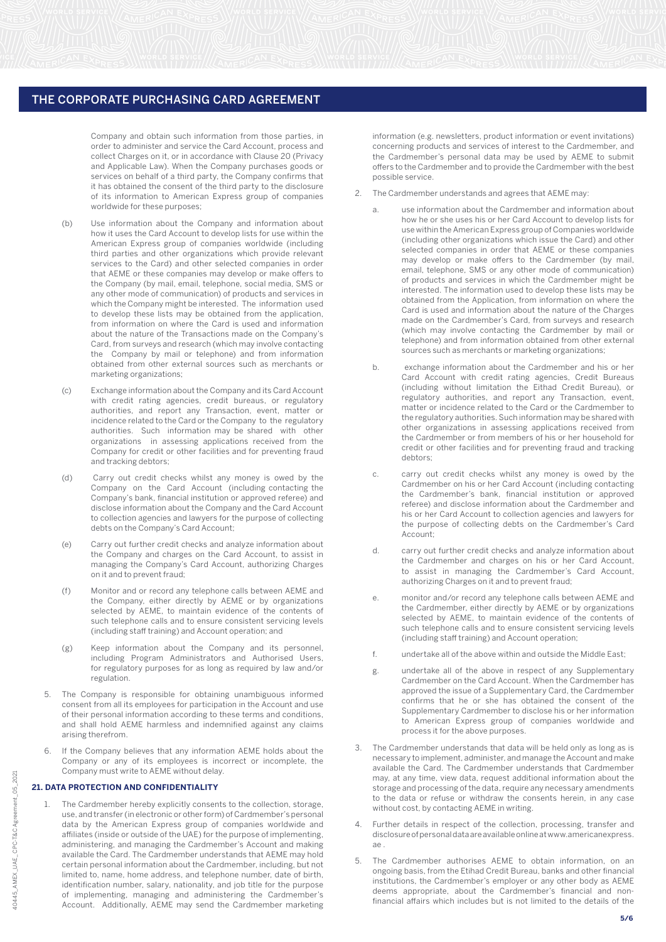Company and obtain such information from those parties, in order to administer and service the Card Account, process and collect Charges on it, or in accordance with Clause 20 (Privacy and Applicable Law). When the Company purchases goods or services on behalf of a third party, the Company confirms that it has obtained the consent of the third party to the disclosure of its information to American Express group of companies worldwide for these purposes;

- (b) Use information about the Company and information about how it uses the Card Account to develop lists for use within the American Express group of companies worldwide (including third parties and other organizations which provide relevant services to the Card) and other selected companies in order that AEME or these companies may develop or make offers to the Company (by mail, email, telephone, social media, SMS or any other mode of communication) of products and services in which the Company might be interested. The information used to develop these lists may be obtained from the application, from information on where the Card is used and information about the nature of the Transactions made on the Company's Card, from surveys and research (which may involve contacting the Company by mail or telephone) and from information obtained from other external sources such as merchants or marketing organizations;
- (c) Exchange information about the Company and its Card Account with credit rating agencies, credit bureaus, or regulatory authorities, and report any Transaction, event, matter or incidence related to the Card or the Company to the regulatory authorities. Such information may be shared with other organizations in assessing applications received from the Company for credit or other facilities and for preventing fraud and tracking debtors;
- (d) Carry out credit checks whilst any money is owed by the Company on the Card Account (including contacting the Company's bank, financial institution or approved referee) and disclose information about the Company and the Card Account to collection agencies and lawyers for the purpose of collecting debts on the Company's Card Account;
- (e) Carry out further credit checks and analyze information about the Company and charges on the Card Account, to assist in managing the Company's Card Account, authorizing Charges on it and to prevent fraud;
- (f) Monitor and or record any telephone calls between AEME and the Company, either directly by AEME or by organizations selected by AEME, to maintain evidence of the contents of such telephone calls and to ensure consistent servicing levels (including staff training) and Account operation; and
- (g) Keep information about the Company and its personnel, including Program Administrators and Authorised Users, for regulatory purposes for as long as required by law and/or regulation.
- The Company is responsible for obtaining unambiguous informed consent from all its employees for participation in the Account and use of their personal information according to these terms and conditions, and shall hold AEME harmless and indemnified against any claims arising therefrom.
- 6. If the Company believes that any information AEME holds about the Company or any of its employees is incorrect or incomplete, the Company must write to AEME without delay.

# **21. DATA PROTECTION AND CONFIDENTIALITY**

The Cardmember hereby explicitly consents to the collection, storage, use, and transfer (in electronic or other form) of Cardmember's personal data by the American Express group of companies worldwide and affiliates (inside or outside of the UAE) for the purpose of implementing, administering, and managing the Cardmember's Account and making available the Card. The Cardmember understands that AEME may hold certain personal information about the Cardmember, including, but not limited to, name, home address, and telephone number, date of birth, identification number, salary, nationality, and job title for the purpose of implementing, managing and administering the Cardmember's Account. Additionally, AEME may send the Cardmember marketing information (e.g. newsletters, product information or event invitations) concerning products and services of interest to the Cardmember, and the Cardmember's personal data may be used by AEME to submit offers to the Cardmember and to provide the Cardmember with the best possible service.

- 2. The Cardmember understands and agrees that AEME may:
	- a. use information about the Cardmember and information about how he or she uses his or her Card Account to develop lists for use within the American Express group of Companies worldwide (including other organizations which issue the Card) and other selected companies in order that AEME or these companies may develop or make offers to the Cardmember (by mail, email, telephone, SMS or any other mode of communication) of products and services in which the Cardmember might be interested. The information used to develop these lists may be obtained from the Application, from information on where the Card is used and information about the nature of the Charges made on the Cardmember's Card, from surveys and research (which may involve contacting the Cardmember by mail or telephone) and from information obtained from other external sources such as merchants or marketing organizations;
	- b. exchange information about the Cardmember and his or her Card Account with credit rating agencies, Credit Bureaus (including without limitation the Eithad Credit Bureau), or regulatory authorities, and report any Transaction, event, matter or incidence related to the Card or the Cardmember to the regulatory authorities. Such information may be shared with other organizations in assessing applications received from the Cardmember or from members of his or her household for credit or other facilities and for preventing fraud and tracking debtors;
	- c. carry out credit checks whilst any money is owed by the Cardmember on his or her Card Account (including contacting the Cardmember's bank, financial institution or approved referee) and disclose information about the Cardmember and his or her Card Account to collection agencies and lawyers for the purpose of collecting debts on the Cardmember's Card Account;
	- d. carry out further credit checks and analyze information about the Cardmember and charges on his or her Card Account, to assist in managing the Cardmember's Card Account, authorizing Charges on it and to prevent fraud;
	- e. monitor and/or record any telephone calls between AEME and the Cardmember, either directly by AEME or by organizations selected by AEME, to maintain evidence of the contents of such telephone calls and to ensure consistent servicing levels (including staff training) and Account operation;
	- f. undertake all of the above within and outside the Middle East;
	- g. undertake all of the above in respect of any Supplementary Cardmember on the Card Account. When the Cardmember has approved the issue of a Supplementary Card, the Cardmember confirms that he or she has obtained the consent of the Supplementary Cardmember to disclose his or her information to American Express group of companies worldwide and process it for the above purposes.
- 3. The Cardmember understands that data will be held only as long as is necessary to implement, administer, and manage the Account and make available the Card. The Cardmember understands that Cardmember may, at any time, view data, request additional information about the storage and processing of the data, require any necessary amendments to the data or refuse or withdraw the consents herein, in any case without cost, by contacting AEME in writing.
- 4. Further details in respect of the collection, processing, transfer and disclosure of personal data are available online at www.americanexpress. ae .
- 5. The Cardmember authorises AEME to obtain information, on an ongoing basis, from the Etihad Credit Bureau, banks and other financial institutions, the Cardmember's employer or any other body as AEME deems appropriate, about the Cardmember's financial and nonfinancial affairs which includes but is not limited to the details of the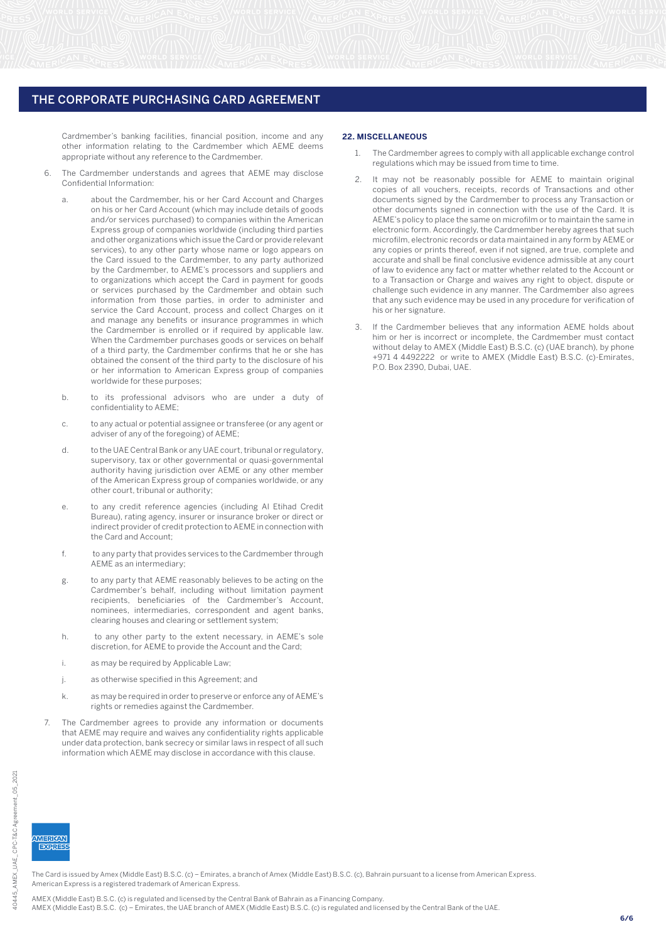Cardmember's banking facilities, financial position, income and any other information relating to the Cardmember which AEME deems appropriate without any reference to the Cardmember.

- The Cardmember understands and agrees that AEME may disclose Confidential Information:
	- a. about the Cardmember, his or her Card Account and Charges on his or her Card Account (which may include details of goods and/or services purchased) to companies within the American Express group of companies worldwide (including third parties and other organizations which issue the Card or provide relevant services), to any other party whose name or logo appears on the Card issued to the Cardmember, to any party authorized by the Cardmember, to AEME's processors and suppliers and to organizations which accept the Card in payment for goods or services purchased by the Cardmember and obtain such information from those parties, in order to administer and service the Card Account, process and collect Charges on it and manage any benefits or insurance programmes in which the Cardmember is enrolled or if required by applicable law. When the Cardmember purchases goods or services on behalf of a third party, the Cardmember confirms that he or she has obtained the consent of the third party to the disclosure of his or her information to American Express group of companies worldwide for these purposes;
	- b. to its professional advisors who are under a duty of confidentiality to AEME;
	- c. to any actual or potential assignee or transferee (or any agent or adviser of any of the foregoing) of AEME;
	- d. to the UAE Central Bank or any UAE court, tribunal or regulatory, supervisory, tax or other governmental or quasi-governmental authority having jurisdiction over AEME or any other member of the American Express group of companies worldwide, or any other court, tribunal or authority;
	- e. to any credit reference agencies (including Al Etihad Credit Bureau), rating agency, insurer or insurance broker or direct or indirect provider of credit protection to AEME in connection with the Card and Account;
	- f. to any party that provides services to the Cardmember through AEME as an intermediary;
	- g. to any party that AEME reasonably believes to be acting on the Cardmember's behalf, including without limitation payment recipients, beneficiaries of the Cardmember's Account, nominees, intermediaries, correspondent and agent banks, clearing houses and clearing or settlement system;
	- h. to any other party to the extent necessary, in AEME's sole discretion, for AEME to provide the Account and the Card;
	- i. as may be required by Applicable Law;
	- j. as otherwise specified in this Agreement; and
	- k. as may be required in order to preserve or enforce any of AEME's rights or remedies against the Cardmember.
	- The Cardmember agrees to provide any information or documents that AEME may require and waives any confidentiality rights applicable under data protection, bank secrecy or similar laws in respect of all such information which AEME may disclose in accordance with this clause.

## **22. MISCELLANEOUS**

- 1. The Cardmember agrees to comply with all applicable exchange control regulations which may be issued from time to time.
- It may not be reasonably possible for AEME to maintain original copies of all vouchers, receipts, records of Transactions and other documents signed by the Cardmember to process any Transaction or other documents signed in connection with the use of the Card. It is AEME's policy to place the same on microfilm or to maintain the same in electronic form. Accordingly, the Cardmember hereby agrees that such microfilm, electronic records or data maintained in any form by AEME or any copies or prints thereof, even if not signed, are true, complete and accurate and shall be final conclusive evidence admissible at any court of law to evidence any fact or matter whether related to the Account or to a Transaction or Charge and waives any right to object, dispute or challenge such evidence in any manner. The Cardmember also agrees that any such evidence may be used in any procedure for verification of his or her signature.
- If the Cardmember believes that any information AEME holds about him or her is incorrect or incomplete, the Cardmember must contact without delay to AMEX (Middle East) B.S.C. (c) (UAE branch), by phone +971 4 4492222 or write to AMEX (Middle East) B.S.C. (c)-Emirates, P.O. Box 2390, Dubai, UAE.

40445

**MERICAN**  $EXERF$ 

The Card is issued by Amex (Middle East) B.S.C. (c) – Emirates, a branch of Amex (Middle East) B.S.C. (c), Bahrain pursuant to a license from American Express. American Express is a registered trademark of American Express.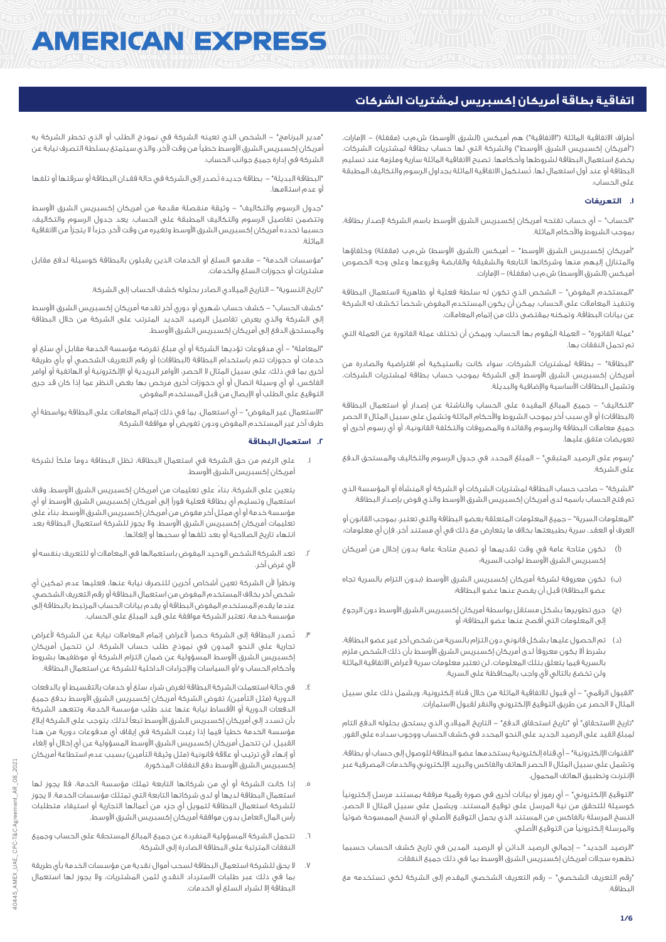# **AMERICAN EXPRESS**

# **اتفاقية بطاقة أمريكان إكسبريس لمشتريات الشركات**

أطراف الاتفاقية الماثلة ("التفاقية") هم أميكس (الشرق الأوسط) ش.م.ب (مقفلة) – الإمارات، )"أمريكان إكسبريس الشرق األوسط"( والشركة التي لها حساب بطاقة لمشتريات الشركات. يخضع استعمال البطاقة لشروطها وأحكامها. تصبح االتفاقية الماثلة سارية وملزمة عند تسليم البطاقة أو عند أول استعمال لها. تُستكمل االتفاقية الماثلة بجداول الرسوم والتكاليف المطبقة على الحساب:

# **.1 التعريفات**

"الحساب" - أي حساب تفتحه أمريكان إكسبريس الشرق األوسط باسم الشركة إلصدار بطاقة، بموجب الشروط واألحكام الماثلة.

"أمريكان إكسبريس الشرق الأوسط" – أميكس (الشرق الأوسط) ش.م.ب (مقفلة) وخلفاؤها والمتنازل إليهم منها وشركاتها التابعة والشقيقة والقابضة وفروعها وعلى وجه الخصوص أميكس (الشرق الأوسط) ش.م.ب (مقفلة) – الإمارات.

"المستخدم المفوض" - الشخص الذي تكون له سلطة فعلية أو ظاهرية الستعمال البطاقة وتنفيذ المعامالت على الحساب. يمكن أن يكون المستخدم المفوض شخصاً تكشف له الشركة عن بيانات البطاقة، وتمكنه بمقتضى ذلك من إتمام المعامالت.

"عملة الفاتورة" - العملة المُ قوم بها الحساب. ويمكن أن تختلف عملة الفاتورة عن العملة التي تم تحمل النفقات بها.

"البطاقة" - بطاقة لمشتريات الشركات، سواء كانت بالستيكية أم افتراضية والصادرة من أمريكان إكسبريس الشرق األوسط إلى الشركة بموجب حساب بطاقة لمشتريات الشركات، وتشمل البطاقات األساسية واإلضافية والبديلة.

"التكاليف" - جميع المبالغ المقيدة على الحساب والناشئة عن إصدار أو استعمال البطاقة (البطاقات) أو لأى سبب آخر بموجب الشروط والأحكام الماثلة وتشمل على سبيل المثال لا الحصر جميع معامالت البطاقة والرسوم والفائدة والمصروفات والتكلفة القانونية، أو أي رسوم أخرى أو تعويضات متفق عليها.

"رسوم على الرصيد المتبقي" - المبلغ المحدد في جدول الرسوم والتكاليف والمستحق الدفع على الشركة.

"الشركة" - صاحب حساب البطاقة لمشتريات الشركات أو الشركة أو المنشأة أو المؤسسة الذي تم فتح الحساب باسمه لدى أمريكان إكسبريس الشرق األوسط والذي فوض بإصدار البطاقة.

"المعلومات السرية" - جميع المعلومات المتعلقة بعضو البطاقة والتي تعتبر، بموجب القانون أو العرف أو العقد، سرية بطبيعتها بخالف ما يتعارض مع ذلك في أي مستند آخر، فإن أي معلومات:

- )أ( تكون متاحة عامة في وقت تقديمها أو تصبح متاحة عامة بدون إخالل من أمريكان إكسبريس الشرق الأوسط لواجب السرية؛
- )ب( تكون معروفة لشركة أمريكان إكسبريس الشرق األوسط )بدون التزام بالسرية تجاه عضو البطاقة) قبل أن يفصح عنها عضو البطاقة؛
- )ج( جرى تطويرها بشكل مستقل بواسطة أمريكان إكسبريس الشرق األوسط دون الرجوع إلى المعلومات التي أفصح عنها عضو البطاقة؛ أو
- )د( تم الحصول عليها بشكل قانوني دون التزام بالسرية من شخص آخر غير عضو البطاقة، بشرط أال يكون معروفاً لدى أمريكان إكسبريس الشرق األوسط بأن ذلك الشخص ملزم بالسرية فيما يتعلق بتلك المعلومات، لن تعتبر معلومات سرية ألغراض االتفاقية الماثلة ولن تخضع بالتالي ألي واجب بالمحافظة على السرية.

"القبول الرقمي" - أي قبول لالتفاقية الماثلة من خالل قناة إلكترونية، ويشمل ذلك على سبيل المثال ال الحصر عن طريق التوقيع اإللكتروني والنقر لقبول االستمارات.

"تاريخ االستحقاق" أو "تاريخ استحقاق الدفع" - التاريخ الميالدي الذي يستحق بحلوله الدفع التام لمبلغ القيد على الرصيد الجديد على النحو المحدد في كشف الحساب ووجوب سداده على الفور.

"القنوات اإللكترونية" - أي قناة إلكترونية يستخدمها عضو البطاقة للوصول إلى حساب أو بطاقة، وتشمل على سبيل المثال ال الحصر الهاتف والفاكس والبريد اإللكتروني والخدمات المصرفية عبر اإلنترنت وتطبيق الهاتف المحمول.

"التوقيع اإللكتروني" - أي رموز أو بيانات أخرى في صورة رقمية مرفقة بمستند مرسل إلكترونياً كوسيلة للتحقق من نية المرسل على توقيع المستند، ويشمل على سبيل المثال ال الحصر، النسخ المرسلة بالفاكس من المستند الذي يحمل التوقيع األصلي أو النسخ الممسوحة ضوئياً والمرسلة إلكترونياً من التوقيع األصلي.

"الرصيد الجديد" - إجمالي الرصيد الدائن أو الرصيد المدين في تاريخ كشف الحساب حسبما تظهره سجالت أمريكان إكسبريس الشرق األوسط بما في ذلك جميع النفقات.

"رقم التعريف الشخصي" - رقم التعريف الشخصي المقدم إلى الشركة لكي تستخدمه مع البطاقة.

"مدير البرنامج" - الشخص الذي تعينه الشركة في نموذج الطلب أو الذي تخطر الشركة به أمريكان إكسبريس الشرق األوسط خطياً من وقت آلخر، والذي سيتمتع بسلطة التصرف نيابة عن الشركة في إدارة جميع جوانب الحساب.

"البطاقة البديلة" - بطاقة جديدة تُصدر إلى الشركة في حالة فقدان البطاقة أو سرقتها أو تلفها أو عدم استالمها.

"جدول الرسوم والتكاليف" - وثيقة منفصلة مقدمة من أمريكان إكسبريس الشرق األوسط وتتضمن تفاصيل الرسوم والتكاليف المطبقة على الحساب. يعد جدول الرسوم والتكاليف، حسبما تحدده أمريكان إكسبريس الشرق الأوسط وتغيره من وقت لآخر، جزءاً لا يتجزأ من الاتفاقية الماثلة.

"مؤسسات الخدمة" - مقدمو السلع أو الخدمات الذين يقبلون بالبطاقة كوسيلة لدفع مقابل مشتريات أو حجوزات السلع والخدمات.

"تاريخ التسوية" - التاريخ الميالدي الصادر بحلوله كشف الحساب إلى الشركة.

"كشف الحساب" - كشف حساب شهري أو دوري آخر تقدمه أمريكان إكسبريس الشرق األوسط إلى الشركة والذي يعرض تفاصيل الرصيد الجديد المترتب على الشركة من خالل البطاقة والمستحق الدفع إلى أمريكان إكسبريس الشرق األوسط.

"المعاملة" - أي مدفوعات تؤديها الشركة أو أي مبلغ تفرضه مؤسسة الخدمة مقابل أي سلع أو خدمات أو حجوزات تتم باستخدام البطاقة (البطاقات) أو رقم التعريف الشخصي أو بأي طريقة أخرى بما في ذلك، على سبيل المثال لا الحصر، الأوامر البريدية أو الإلكترونية أو الـهاتفية أو أوامر الفاكس، أو أي وسيلة اتصال أو أي حجوزات أخرى مرخص بها بغض النظر عما إذا كان قد جرى التوقيع على الطلب أو اإليصال من قبل المستخدم المفوض.

"االستعمال غير المفوض" - أي استعمال، بما في ذلك إتمام المعامالت على البطاقة بواسطة أي طرف آخر غير المستخدم المفوض ودون تفويض أو موافقة الشركة.

## **.2 استعمال البطاقة**

.1 على الرغم من حق الشركة في استعمال البطاقة، تظل البطاقة دوماً ملكاً لشركة أمريكان إكسبريس الشرق األوسط.

 يتعين على الشركة، بناءً على تعليمات من أمريكان إكسبريس الشرق األوسط، وقف استعمال وتسليم أي بطاقة فعلية فوراً إلى أمريكان إكسبريس الشرق األوسط أو أي مؤسسة خدمة أو أي ممثل آخر مفوض من أمريكان إكسبريس الشرق األوسط، بناءً على تعليمات أمريكان إكسبريس الشرق الأوسط. ولا يجوز للشركة استعمال البطاقة بعد انتهاء تاريخ الصالحية أو بعد تلفها أو سحبها أو إلغائها.

.2 تعد الشركة الشخص الوحيد المفوض باستعمالها في المعامالت أو للتعريف بنفسه أو لأي غرض آخر.

 ونظراً ألن الشركة تعين أشخاص آخرين للتصرف نيابة عنها، فعليها عدم تمكين أي شخص آخر بخالف المستخدم المفوض من استعمال البطاقة أو رقم التعريف الشخصي. عندما يقدم المستخدم المفوض البطاقة أو يقدم بيانات الحساب المرتبط بالبطاقة إلى مؤسسة خدمة، تعتبر الشركة موافقة على قيد المبلغ على الحساب.

- .3 تُصدر البطاقة إلى الشركة حصراً ألغراض إتمام المعامالت نيابة عن الشركة ألغراض تجارية على النحو المدون في نموذج طلب حساب الشركة. لن تتحمل أمريكان إكسبريس الشرق األوسط المسؤولية عن ضمان التزام الشركة أو موظفيها بشروط وأحكام الحساب و/أو السياسات واإلجراءات الداخلية للشركة عن استعمال البطاقة.
- .4 في حالة استعملت الشركة البطاقة لغرض شراء سلع أو خدمات بالتقسيط أو بالدفعات الدورية (مثل التأمين)، تفوض الشركة أمريكان إكسبريس الشرق الأوسط بدفع جميع الدفعات الدورية أو األقساط نيابة عنها عند طلب مؤسسة الخدمة، وتتعهد الشركة بأن تسدد إلى أمريكان إكسبريس الشرق األوسط تبعاً لذلك. يتوجب على الشركة إبالغ مؤسسة الخدمة خطياً فيما إذا رغبت الشركة في إيقاف أي مدفوعات دورية من هذا القبيل. لن تتحمل أمريكان إكسبريس الشرق األوسط المسؤولية عن أي إخالل أو إلغاء أو إنهاء لأي ترتيب أو علاقة قانونية (مثل وثيقة التأمين) بسبب عدم استطاعة أمريكان إكسبريس الشرق األوسط دفع النفقات المذكورة.
- .5 إذا كانت الشركة أو أي من شركاتها التابعة تملك مؤسسة الخدمة، فال يجوز لها استعمال البطاقة لديها أو لدى شركاتها التابعة التي تمتلك مؤسسات الخدمة. ال يجوز للشركة استعمال البطاقة لتمويل أي جزء من أعمالها التجارية أو استيفاء متطلبات رأس المال العامل بدون موافقة أمريكان إكسبريس الشرق األوسط.
- .6 تتحمل الشركة المسؤولية المنفردة عن جميع المبالغ المستحقة على الحساب وجميع النفقات المترتبة على البطاقة الصادرة إلى الشركة.
- .7 ال يحق للشركة استعمال البطاقة لسحب أموال نقدية من مؤسسات الخدمة بأي طريقة بما في ذلك عبر طلبات االسترداد النقدي لثمن المشتريات، وال يجوز لها استعمال البطاقة إال لشراء السلع أو الخدمات.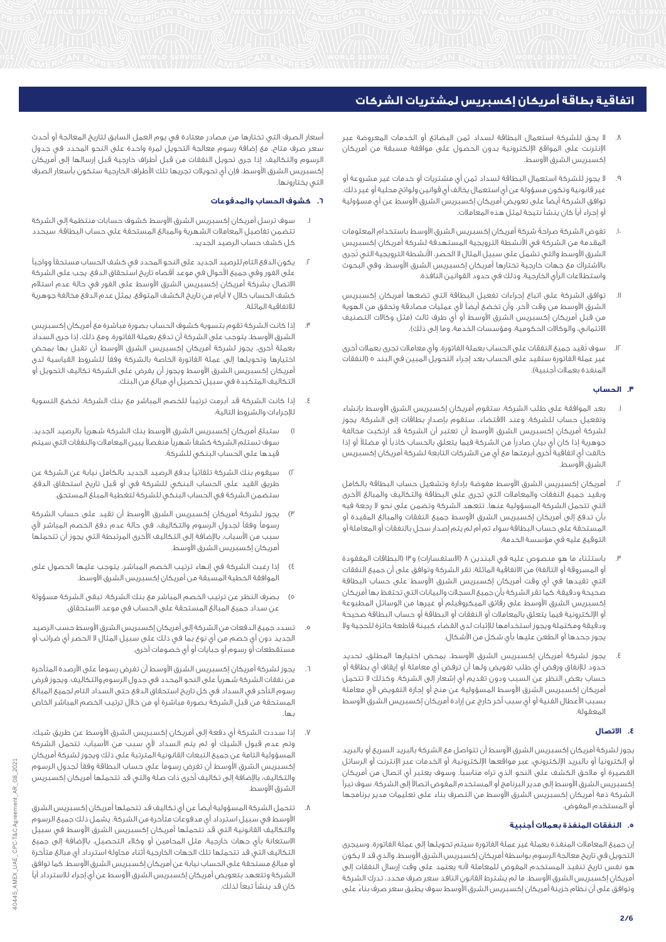- .8 ال يحق للشركة استعمال البطاقة لسداد ثمن البضائع أو الخدمات المعروضة عبر اإلنترنت على المواقع اإللكترونية بدون الحصول على موافقة مسبقة من أمريكان إكسبريس الشرق األوسط.
- .9 ال يجوز للشركة استعمال البطاقة لسداد ثمن أي مشتريات أو خدمات غير مشروعة أو غير قانونية وتكون مسؤولة عن أي استعمال يخالف أي قوانين ولوائح محلية أو غير ذلك. توافق الشركة أيضاً على تعويض أمريكان إكسبريس الشرق األوسط عن أي مسؤولية أو إجراء أياً كان ينشأ نتيجة لمثل هذه المعامالت.
- .10 تفوض الشركة صراحةً شركة أمريكان إكسبريس الشرق األوسط باستخدام المعلومات المقدمة من الشركة في األنشطة الترويجية المستهدفة لشركة أمريكان إكسبريس الشرق األوسط والتي تشمل على سبيل المثال ال الحصر، األنشطة الترويجية التي تُجرى باالشتراك مع جهات خارجية تختارها أمريكان إكسبريس الشرق األوسط، وفي البحوث واستطالعات الرأي الخارجية، وذلك في حدود القوانين النافذة.
- .11 توافق الشركة على اتباع إجراءات تفعيل البطاقة التي تضعها أمريكان إكسبريس الشرق األوسط من وقت آلخر، وأن تخضع أيضاً ألي عمليات مصادقة وتحقق من الهوية من قبل أمريكان إكسبريس الشرق الأوسط أو أي طرف ثالث (مثل وكالات التصنيف الائتماني، والوكالات الحكومية، ومؤسسات الخدمة، وما إلى ذلك).
- .12 سوف تُقيد جميع النفقات على الحساب بعملة الفاتورة. وأي معامالت تجرى بعمالت أخرى غير عملة الفاتورة ستقيد على الحساب بعد إجراء التحويل المبين في البند 5 )النفقات المنفذة بعمالت أجنبية(.

# **.3 الحساب**

- .1 بعد الموافقة على طلب الشركة، ستقوم أمريكان إكسبريس الشرق األوسط بإنشاء وتفعيل حساب للشركة، وعند االقتضاء، ستقوم بإصدارٍ بطاقات إلى الشركة. يجوز لشركة أمريكان إكسبريس الشرق األوسط أن تعتبر أن الشركة قد ارتكبت مخالفة جوهرية إذا كان أي بيان صادراً من الشركة فيما يتعلق بالحساب كاذباً أو مضلالً أو إذا خالفت أي اتفاقية أخرى أبرمتها مع أي من الشركات التابعة لشركة أمريكان إكسبريس الشرق األوسط.
- .2 أمريكان إكسبريس الشرق األوسط مفوضة بإدارة وتشغيل حساب البطاقة بالكامل وبقيد جميع النفقات والمعامالت التي تجرى على البطاقة والتكاليف والمبالغ األخرى التي تتحمل الشركة المسؤولية عنها. تتعهد الشركة وتضمن على نحو ال رجعة فيه بأن تدفع إلى أمريكان إكسبريس الشرق األوسط جميع النفقات والمبالغ المقيدة أو المستحقة على حساب البطاقة سواء تم أم لم يتم إصدار سجل بالنفقات أو المعاملة أو التوقيع عليه في مؤسسة الخدمة.
- .3 باستثناء ما هو منصوص عليه في البندين 8 )االستفسارات( و13 )البطاقات المفقودة أو المسروقة أو التالفة) من الاتفاقية الماثلة، تقر الشركة وتوافق على أن جميع النفقات التي تقيدها في أي وقت أمريكان إكسبريس الشرق األوسط على حساب البطاقة صحيحة ودقيقة. كما تقر الشركة بأن جميع السجالت والبيانات التي تحتفظ بها أمريكان إكسبريس الشرق الأوسط على رقائق الميكروفيلم أو غيرها من الوسائل المطبوعة أو اإللكترونية فيما يتعلق بالمعامالت أو النفقات أو البطاقة أو حساب البطاقة صحيحة ودقيقة ومكتملة ويجوز استخدامها لإلثبات لدى القضاء كبينة قاطعة حائزة للحجية وال يجوز جحدها أو الطعن عليها بأي شكل من األشكال.
- .4 يجوز لشركة أمريكان إكسبريس الشرق األوسط، بمحض اختيارها المطلق، تحديد حدود لإلنفاق ورفض أي طلب تفويض ولها أن ترفض أي معاملة أو إيقاف أي بطاقة أو حساب بغض النظر عن السبب ودون تقديم أي إشعار إلى الشركة. وكذلك ال تتحمل أمريكان إكسبريس الشرق الأوسط المسؤولية عن منح أو إجازة التفويض لأى معاملة بسبب الأعطال الفنية أو أي سبب آخر خارج عن إرادة أمريكان إكسبريس الشرق الأوسط المعقولة.

#### **.4 االتصال**

يجوز لشركة أمريكان إكسبريس الشرق األوسط أن تتواصل مع الشركة بالبريد السريع أو بالبريد أو إلكترونياً أو بالبريد اإللكتروني، عبر مواقعها اإللكترونية، أو الخدمات عبر اإلنترنت أو الرسائل القصيرة أو مالحق الكشف على النحو الذي تراه مناسبا.ً وسوف يعتبر أي اتصال من أمريكان إكسبريس الشرق األوسط إلى مدير البرنامج أو المستخدم المفوض اتصاالً إلى الشركة. سوف تبرأ الشركة ذمة أمريكان إكسبريس الشرق األوسط من التصرف بناء على تعليمات مدير برنامجها أو المستخدم المفوض.

## **.5 النفقات المنفذة بعمالت أجنبية**

إن جميع المعامالت المنفذة بعملة غير عملة الفاتورة سيتم تحويلها إلى عملة الفاتورة. وسيجرى التحويل في تاريخ معالجة الرسوم بواسطة أمريكان إكسبريس الشرق األوسط، والذي قد ال يكون هو نفس تاريخ تنفيذ المستخدم المفوض للمعاملة ألنه يعتمد على وقت إرسال النفقات إلى أمريكان إكسبريس الشرق األوسط. ما لم يشترط القانون النافذ سعر صرف محدد، تدرك الشركة وتوافق على أن نظام خزينة أمريكان إكسبريس الشرق األوسط سوف يطبق سعر صرف بناءً على

أسعار الصرف التي تختارها من مصادر معتادة في يوم العمل السابق لتاريخ المعالجة أو أحدث سعر صرف متاح، مع إضافة رسوم معالجة التحويل لمرة واحدة على النحو المحدد في جدول الرسوم والتكاليف. إذا جرى تحويل النفقات من قبل أطراف خارجية قبل إرسالها إلى أمريكان إكسبريس الشرق األوسط، فإن أي تحويالت تجريها تلك األطراف الخارجية ستكون بأسعار الصرف التي يختارونها.

## **.6 كشوف الحساب والمدفوعات**

- .1 سوف ترسل أمريكان إكسبريس الشرق األوسط كشوف حسابات منتظمة إلى الشركة تتضمن تفاصيل المعامالت الشهرية والمبالغ المستحقة على حساب البطاقة. سيحدد كل كشف حساب الرصيد الجديد.
- .2 يكون الدفع التام للرصيد الجديد على النحو المحدد في كشف الحساب مستحقاً وواجباً على الفور وفي جميع األحوال في موعد أقصاه تاريخ استحقاق الدفع. يجب على الشركة االتصال بشركة أمريكان إكسبريس الشرق األوسط على الفور في حالة عدم استالم كشف الحساب خالل 7 أيام من تاريخ الكشف المتوقع. يمثل عدم الدفع مخالفة جوهرية لالتفاقية الماثلة.
- .3 إذا كانت الشركة تقوم بتسوية كشوف الحساب بصورة مباشرة مع أمريكان إكسبريس الشرق األوسط، يتوجب على الشركة أن تدفع بعملة الفاتورة. ومع ذلك، إذا جرى السداد بعملة أخرى، يجوز لشركة أمريكان إكسبريس الشرق األوسط أن تقبل بها بمحض اختيارها وتحويلها إلى عملة الفاتورة الخاصة بالشركة وفقاً للشروط القياسية لدى أمريكان إكسبريس الشرق الأوسط ويجوز أن يفرض على الشركة تكاليف التحويل أو التكاليف المتكبدة في سبيل تحصيل أي مبالغ من البنك.
- .4 إذا كانت الشركة قد أبرمت ترتيباً للخصم المباشر مع بنك الشركة، تخضع التسوية لإلجراءات والشروط التالية:
- 1( ستبلغ أمريكان إكسبريس الشرق األوسط بنك الشركة شهرياً بالرصيد الجديد. سوف تستلم الشركة كشفاً شهرياً منفصالً يبين المعامالت والنفقات التي سيتم قيدها على الحساب البنكي للشركة.
- 2( سيقوم بنك الشركة تلقائياً بدفع الرصيد الجديد بالكامل نيابة عن الشركة عن طريق القيد على الحساب البنكي للشركة في أو قبل تاريخ استحقاق الدفع. ستضمن الشركة في الحساب البنكي للشركة لتغطية المبلغ المستحق.
- يجوز لشركة أمريكان إكسبريس الشرق الأوسط أن تقيد على حساب الشركة رسوماً وفقاً لجدول الرسوم والتكاليف، في حالة عدم دفع الخصم المباشر ألي سبب من األسباب، باإلضافة إلى التكاليف األخرى المرتبطة التي يجوز أن تتحملها أمريكان إكسبريس الشرق األوسط.
- 4( إذا رغبت الشركة في إنهاء ترتيب الخصم المباشر، يتوجب عليها الحصول على الموافقة الخطية المسبقة من أمريكان إكسبريس الشرق األوسط.
- 5( بصرف النظر عن ترتيب الخصم المباشر مع بنك الشركة، تبقى الشركة مسؤولة عن سداد جميع المبالغ المستحقة على الحساب في موعد االستحقاق.
- تسدد جميع الدفعات من الشركة إلى أمريكان إكسبريس الشرق الأوسط حسب الرصيد الجديد دون أي خصم من أي نوع بما في ذلك على سبيل المثال ال الحصر أي ضرائب أو مستقطعات أو رسوم أو جبايات أو أي خصومات أخرى.
- يجوز لشركة أمريكان إكسبريس الشرق الأوسط أن تفرض رسوماً على الأرصدة المتأخرة من نفقات الشركة شهرياً على النحو المحدد في جدول الرسوم والتكاليف. ويجوز فرض رسوم التأخر في السداد في كل تاريخ استحقاق الدفع حتى السداد التام لجميع المبالغ المستحقة من قبل الشركة بصورة مباشرة أو من خالل ترتيب الخصم المباشر الخاص بها.
- .7 إذا سددت الشركة أي دفعة إلى أمريكان إكسبريس الشرق األوسط عن طريق شيك، وتم عدم قبول الشيك أو لم يتم السداد ألي سبب من األسباب، تتحمل الشركة المسؤولية التامة عن جميع التبعات القانونية المترتبة على ذلك ويجوز لشركة أمريكان إكسبريس الشرق األوسط أن تفرض رسوماً على حساب البطاقة وفقاً لجدول الرسوم والتكاليف، باإلضافة إلى تكاليف أخرى ذات صلة والتي قد تتحملها أمريكان إكسبريس .<br>الشرق الأوسط.
- .8 تتحمل الشركة المسؤولية أيضاً عن أي تكاليف قد تتحملها أمريكان إكسبريس الشرق األوسط في سبيل استرداد أي مدفوعات متأخرة من الشركة. يشمل ذلك جميع الرسوم والتكاليف القانونية التي قد تتحملها أمريكان إكسبريس الشرق األوسط في سبيل االستعانة بأي جهات خارجية، مثل المحامين أو وكالء التحصيل، باإلضافة إلى جميع التكاليف التي قد تتحملها تلك الجهات الخارجية أثناء محاولة استرداد أي مبالغ متأخرة أو مبالغ مستحقة على الحساب نيابة عن أمريكان إكسبريس الشرق األوسط. كما توافق الشركة وتتعهد بتعويض أمريكان إكسبريس الشرق األوسط عن أي إجراء لالسترداد أياً كان قد ينشأ تبعاً لذلك.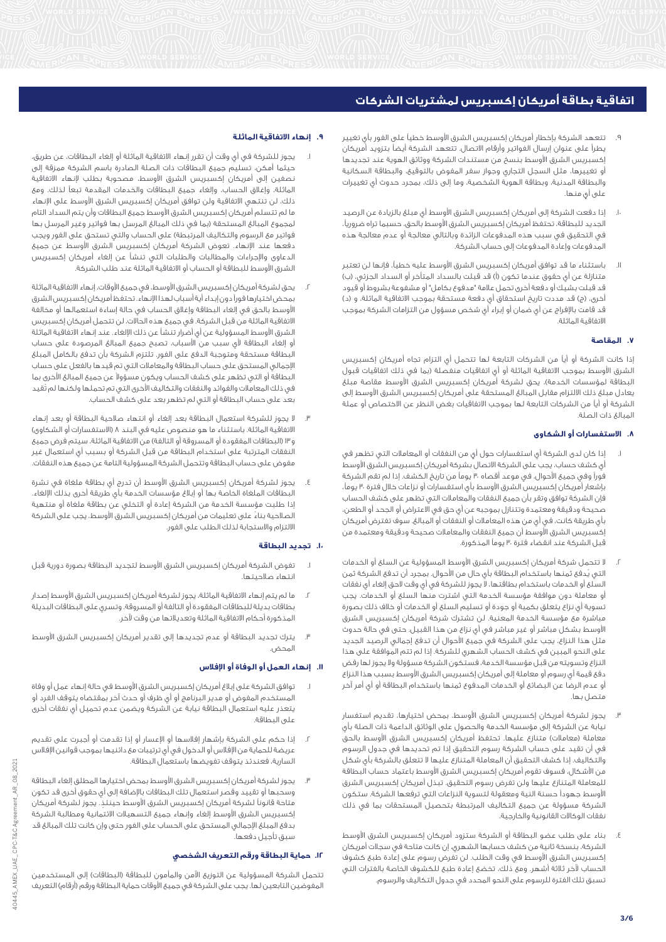- تتعهد الشركة بإخطار أمريكان إكسبريس الشرق الأوسط خطياً على الفور بأى تغيير يطرأ على عنوان إرسال الفواتير وأرقام االتصال. تتعهد الشركة أيضاً بتزويد أمريكان إكسبريس الشرق األوسط بنسخ من مستندات الشركة ووثائق الهوية عند تجديدها أو تغييرها، مثل السجل التجاري وجواز سفر المفوض بالتوقيع، والبطاقة السكانية والبطاقة المدنية، وبطاقة الهوية الشخصية، وما إلى ذلك، بمجرد حدوث أي تغييرات على أي منها.
- .10 إذا دفعت الشركة إلى أمريكان إكسبريس الشرق األوسط أي مبلغ بالزيادة عن الرصيد الجديد للبطاقة، تحتفظ أمريكان إكسبريس الشرق األوسط بالحق، حسبما تراه ضروريا،ً في التحقيق في سبب هذه المدفوعات الزائدة وبالتالي معالجة أو عدم معالجة هذه المدفوعات وإعادة المدفوعات إلى حساب الشركة.
- .11 باستثناء ما قد توافق أمريكان إكسبريس الشرق األوسط عليه خطيا،ً فإنها لن تعتبر متنازلة عن أي حقوق عندما تكون (أ) قد قبلت بالسداد المتأخر أو السداد الجزئي، (ب) قد قبلت بشيك أو دفعة أخرى تحمل عالمة "مدفوع بكامل" أو مشفوعة بشروط أو قيود أخرى، (ج) قد مددت تاريخ استحقاق أي دفعة مستحقة بموجب الاتفاقية الماثلة، و (د) قد قامت باإلفراج عن أي ضمان أو إبراء أي شخص مسؤول من التزامات الشركة بموجب االتفاقية الماثلة.

# **.7 المقاصة**

إذا كانت الشركة أو أياً من الشركات التابعة لها تتحمل أي التزام تجاه أمريكان إكسبريس الشرق الأوسط بموجب الاتفاقية الماثلة أو أي اتفاقيات منفصلة (بما في ذلك اتفاقيات قبول البطاقة لمؤسسات الخدمة)، يحق لشركة أمريكان إكسبريس الشرق الأوسط مقاصة مبلغ يعادل مبلغ ذلك االلتزام مقابل المبالغ المستحقة على أمريكان إكسبريس الشرق األوسط إلى الشركة أو أياً من الشركات التابعة لها بموجب االتفاقيات بغض النظر عن االختصاص أو عملة المبالغ ذات الصلة.

# **.8 االستفسارات أو الشكاوى**

- .1 إذا كان لدى الشركة أي استفسارات حول أيٍ من النفقات أو المعامالت التي تظهر في أي كشف حساب، يجب على الشركة االتصال بشركة أمريكان إكسبريس الشرق األوسط فوراً وفي جميع األحوال، في موعد أقصاه 30 يوماً من تاريخ الكشف. إذا لم تقم الشركة بإشعار أمريكان إكسبريس الشرق الأوسط بأى استفسارات أو نزاعات خلال فترة ٣٠ يوماً، فإن الشركة توافق وتقر بأن جميع النفقات والمعامالت التي تظهر على كشف الحساب صحيحة ودقيقة ومعتمدة وتتنازل بموجبه عن أي حق في االعتراض أو الجحد أو الطعن، بأي طريقة كانت، في أي من هذه المعامالت أو النفقات أو المبالغ. سوف تفترض أمريكان إكسبريس الشرق األوسط أن جميع النفقات والمعامالت صحيحة ودقيقة ومعتمدة من قبل الشركة عند انقضاء فترة 30 يوماً المذكورة.
- .2 ال تتحمل شركة أمريكان إكسبريس الشرق األوسط المسؤولية عن السلع أو الخدمات التي يُدفع ثمنها باستخدام البطاقة بأي حال من األحوال. بمجرد أن تدفع الشركة ثمن السلع أو الخدمات باستخدام بطاقتها، ال يجوز للشركة في أي وقت الحق إلغاء أي نفقات أو معاملة دون موافقة مؤسسة الخدمة التي اشترت منها السلع أو الخدمات. يجب تسوية أي نزاع يتعلق بكمية أو جودة أو تسليم السلع أو الخدمات أو خالف ذلك بصورة مباشرة مع مؤسسة الخدمة المعنية. لن تشترك شركة أمريكان إكسبريس الشرق األوسط بشكل مباشر أو غير مباشر في أي نزاع من هذا القبيل. حتى في حالة حدوث مثل هذا النزاع، يجب على الشركة في جميع األحوال أن تدفع إجمالي الرصيد الجديد على النحو المبين في كشف الحساب الشهري للشركة. إذا لم تتم الموافقة على هذا النزاع وتسويته من قبل مؤسسة الخدمة، فستكون الشركة مسؤولة وال يجوز لها رفض دفع قيمة أي رسوم أو معاملة إلى أمريكان إكسبريس الشرق األوسط بسبب هذا النزاع أو عدم الرضا عن البضائع أو الخدمات المدفوع ثمنها باستخدام البطاقة أو أي أمر آخر متصل بها.
- .3 يجوز لشركة أمريكان إكسبريس الشرق األوسط، بمحض اختيارها، تقديم استفسار نيابة عن الشركة إلى مؤسسة الخدمة والحصول على الوثائق الداعمة ذات الصلة بأي معاملة (معاملات) متنازع عليها. تحتفظ أمريكان إكسبريس الشرق الأوسط بالحق في أن تقيد على حساب الشركة رسوم التحقيق إذا تم تحديدها في جدول الرسوم والتكاليف. إذا كشف التحقيق أن المعاملة المتنازع عليها ال تتعلق بالشركة بأي شكل من األشكال، فسوف تقوم أمريكان إكسبريس الشرق األوسط باعتماد حساب البطاقة للمعاملة المتنازع عليها ولن تفرض رسوم التحقيق. تبذل أمريكان إكسبريس الشرق األوسط جهوداً حسنة النية ومعقولة لتسوية النزاعات التي ترفعها الشركة. ستكون الشركة مسؤولة عن جميع التكاليف المرتبطة بتحصيل المستحقات بما في ذلك نفقات الوكاالت القانونية والخارجية.
- .4 بناء على طلب عضو البطاقة أو الشركة ستزود أمريكان إكسبريس الشرق األوسط الشركة، بنسخة ثانية من كشف حسابها الشهري، إن كانت متاحة في سجالت أمريكان إكسبريس الشرق األوسط في وقت الطلب. لن تفرض رسوم على إعادة طبع كشوف الحساب لآخر ثلاثة أشهر. ومع ذلك، تخضع إعادة طبع للكشوف الخاصة بالفترات التي تسبق تلك الفترة للرسوم على النحو المحدد في جدول التكاليف والرسوم.

## **.9 إنهاء االتفاقية الماثلة**

- .1 يجوز للشركة في أي وقت أن تقرر إنهاء االتفاقية الماثلة أو إلغاء البطاقات، عن طريق، حيثما أمكن، تسليم جميع البطاقات ذات الصلة الصادرة باسم الشركة ممزقة إلى نصفين إلى أمريكان إكسبريس الشرق األوسط، مصحوبة بطلب إلنهاء االتفاقية الماثلة، وإغالق الحساب، وإلغاء جميع البطاقات والخدمات المقدمة تبعاً لذلك. ومع ذلك، لن تنتهي االتفاقية ولن توافق أمريكان إكسبريس الشرق األوسط على اإلنهاء ما لم تتسلم أمريكان إكسبريس الشرق األوسط جميع البطاقات وأن يتم السداد التام لمجموع المبالغ المستحقة (بما في ذلك المبالغ المرسل بها فواتير وغير المرسل بها فواتير مع الرسوم والتكاليف المرتبطة) على الحساب والتي تستحق على الفور ويجب دفعها عند اإلنهاء. تعوض الشركة أمريكان إكسبريس الشرق األوسط عن جميع الدعاوى واإلجراءات والمطالبات والطلبات التي تنشأ عن إلغاء أمريكان إكسبريس الشرق الأوسط للبطاقة أو الحساب أو الاتفاقية الّماثلة عند طلب الشركة.
- يحق لشركة أمريكان إكسبريس الشرق الأوسط، في جميع الأوقات، إنهاء الاتفاقية الماثلة بمحض اختيارها فوراً دون إبداء أية أسباب لهذا اإلنهاء. تحتفظ أمريكان إكسبريس الشرق األوسط بالحق في إلغاء البطاقة وإغالق الحساب في حالة إساءة استعمالها أو مخالفة االتفاقية الماثلة من قبل الشركة. في جميع هذه الحاالت، لن تتحمل أمريكان إكسبريس الشرق األوسط المسؤولية عن أي أضرار تنشأ عن ذلك اإللغاء. عند إنهاء االتفاقية الماثلة أو إلغاء البطاقة ألي سبب من األسباب، تصبح جميع المبالغ المرصودة على حساب البطاقة مستحقة ومتوجبة الدفع على الفور. تلتزم الشركة بأن تدفع بالكامل المبلغ اإلجمالي المستحق على حساب البطاقة والمعامالت التي تم قيدها بالفعل على حساب البطاقة أو التي تظهر على كشف الحساب ويكون مسؤوالً عن جميع المبالغ األخرى بما في ذلك المعامالت والفوائد والنفقات والتكاليف األخرى التي تم تحملها ولكنها لم تُقيد بعد على حساب البطاقة أو التي لم تظهر بعد على كشف الحساب.
- .3 ال يجوز للشركة استعمال البطاقة بعد إلغاء أو انتهاء صالحية البطاقة أو بعد إنهاء االتفاقية الماثلة. باستثناء ما هو منصوص عليه في البند 8 )االستفسارات أو الشكاوى( و١٣ (البطاقات المفقودة أو المسروقة أو التالفة) من الاتفاقية الماثلة، سيتم فرض جميع النفقات المترتبة على استخدام البطاقة من قبل الشركة أو بسبب أي استعمال غير مفوض على حساب البطاقة وتتحمل الشركة المسؤولية التامة عن جميع هذه النفقات.
- .4 يجوز لشركة أمريكان إكسبريس الشرق األوسط أن تدرج أي بطاقة ملغاة في نشرة البطاقات الملغاة الخاصة بها أو إبالغ مؤسسات الخدمة بأي طريقة أخرى بذلك اإللغاء. إذا طلبت مؤسسة الخدمة من الشركة إعادة أو التخلي عن بطاقة ملغاة أو منتهية الصالحية بناءً على تعليمات من أمريكان إكسبريس الشرق األوسط، يجب على الشركة االلتزام واالستجابة لذلك الطلب على الفور.

#### **.10 تجديد البطاقة**

- .1 تفوض الشركة أمريكان إكسبريس الشرق األوسط لتجديد البطاقة بصورة دورية قبل انتهاء صالحيتها.
- ما لم يتم إنهاء الاتفاقية الماثلة، يجوز لشركة أمريكان إكسبريس الشرق الأوسط إصدار بطاقات بديلة للبطاقات المفقودة أو التالفة أو المسروقة. وتسري على البطاقات البديلة المذكورة أحكام االتفاقية الماثلة وتعديالتها من وقت آلخر.
- .3 يترك تجديد البطاقة أو عدم تجديدها إلى تقدير أمريكان إكسبريس الشرق األوسط المحض.

### **.11 إنهاء العمل أو الوفاة أو اإلفالس**

- توافق الشركة على إبلاغ أمريكان إكسبريس الشرق الأوسط في حالة إنهاء عمل أو وفاة المستخدم المفوض أو مدير البرنامج أو أي ظرف أو حدث آخر بمقتضاه يتوقف الفرد أو يتعذر عليه استعمال البطاقة نيابة عن الشركة ويضمن عدم تحميل أي نفقات أخرى على البطاقة.
- .2 إذا حكم على الشركة بإشهار إفالسها أو اإلعسار أو إذا تقدمت أو أُجبرت على تقديم عريضة للحماية من اإلفالس أو الدخول في أي ترتيبات مع دائنيها بموجب قوانين اإلفالس السارية، فعندئذ يتوقف تفويضها باستعمال البطاقة.
- يجوز لشركة أمريكان إكسبريس الشرق الأوسط بمحض اختيارها المطلق إلغاء البطاقة وسحبها أو تقييد وقصر استعمال تلك البطاقات باإلضافة إلى أي حقوق أخرى قد تكون متاحة قانوناً لشركة أمريكان إكسبريس الشرق األوسط حينئذٍ . يجوز لشركة أمريكان إكسبريس الشرق األوسط إلغاء وإنهاء جميع التسهيالت االئتمانية ومطالبة الشركة بدفع المبلغ اإلجمالي المستحق على الحساب على الفور حتى وإن كانت تلك المبالغ قد .<br>سبق تأجيل دفعها.

#### **.12 حماية البطاقة ورقم التعريف الشخصي**

تتحمل الشركة المسؤولية عن التوزيع الآمن والمأمون للبطاقة (البطاقات) إلى المستخدمين المفوضين التابعين لها. يجب على الشركة فى جميع الأوقات حماية البطاقة ورقم (أرقام) التعريف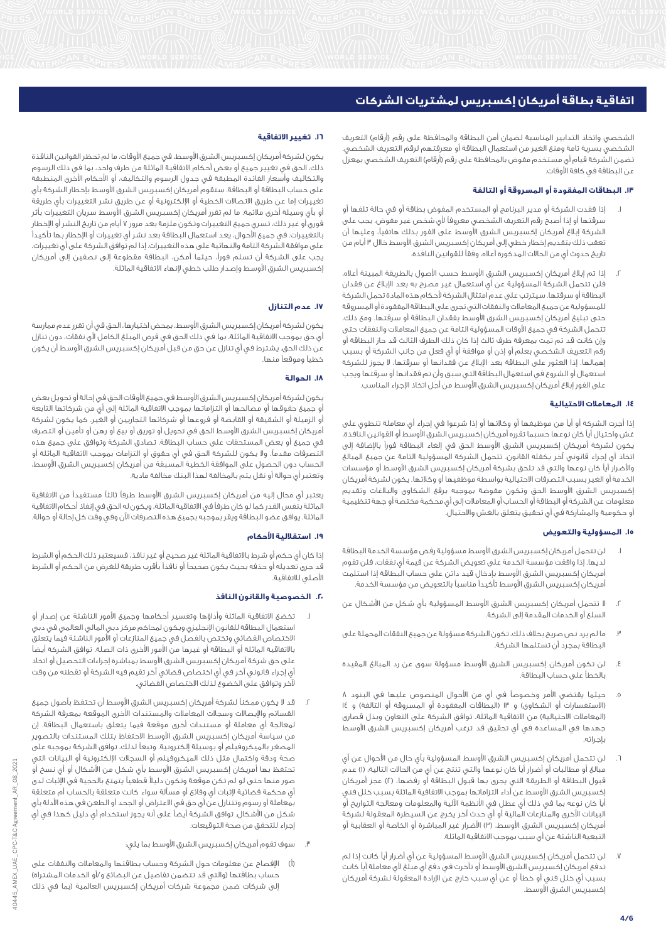الشخصي واتخاذ التدابير المناسبة لضمان أمن البطاقة والمحافظة على رقم (أرقام) التعريف الشخصي بسرية تامة ومنع الغير من استعمال البطاقة أو معرفتهم لرقم التعريف الشخصي. تضمن الشركة قيام أي مستخدم مفوض بالمحافظة على رقم (أرقام) التعريف الشخصي بمعزل عن البطاقة في كافة األوقات.

# **.13 البطاقات المفقودة أو المسروقة أو التالفة**

- .1 إذا فقدت الشركة أو مدير البرنامج أو المستخدم المفوض بطاقة أو في حالة تلفها أو سرقتها أو إذا أصبح رقم التعريف الشخصي معروفاً ألي شخص غير مفوض، يجب على الشركة إبالغ أمريكان إكسبريس الشرق األوسط على الفور بذلك هاتفيا،ً وعليها أن تعقب ذلك بتقديم إخطار خطي إلى أمريكان إكسبريس الشرق الأوسط خلال ٣ أيام من تاريخ حدوث أيٍ من الحاالت المذكورة أعاله، وفقاً للقوانين النافذة.
- .2 إذا تم إبالغ أمريكان إكسبريس الشرق األوسط حسب األصول بالطريقة المبينة أعاله، فلن تتحمل الشركة المسؤولية عن أي استعمال غير مصرح به بعد اإلبالغ عن فقدان البطاقة أو سرقتها. سيترتب على عدم امتثال الشركة ألحكام هذه المادة تحمل الشركة للمسؤولية عن جميع المعامالت والنفقات التي تجرى على البطاقة المفقودة أو المسروقة حتى تبليغ أمريكان إكسبريس الشرق األوسط بفقدان البطاقة أو سرقتها. ومع ذلك، تتحمل الشركة في جميع األوقات المسؤولية التامة عن جميع المعامالت والنفقات حتى وإن كانت قد تم تمت بمعرفة طرف ثالث إذا كان ذلك الطرف الثالث قد حاز البطاقة أو رقم التعريف الشخصي بعلم أو إذن أو موافقة أو أي فعل من جانب الشركة أو بسبب إهمالها. إذا العثور على البطاقة بعد اإلبالغ عن فقدانها أو سرقتها، ال يجوز للشركة استعمال أو الشروع في استعمال البطاقة التي سبق وأن تم فقدانها أو سرقتها ويجب على الفور إبالغ أمريكان إكسبريس الشرق األوسط من أجل اتخاذ اإلجراء المناسب.

# **.14 المعامالت االحتيالية**

إذا أجرت الشركة أو أياً من موظيفها أو وكالئها أو إذا شرعوا في إجراء أي معاملة تنطوي على غش واحتيال أياً كان نوعها حسبما تقرره أمريكان إكسبريس الشرق األوسط أو القوانين النافذة، يكون لشركة أمريكان إكسبريس الشرق األوسط الحق في إلغاء البطاقة فوراً باإلضافة إلى اتخاذ أي إجراء قانوني آخر يكفله القانون. تتحمل الشركة المسؤولية التامة عن جميع المبالغ والأضرار أياً كان نوعها والتى قد تلحق بشركة أمريكان إكسبريس الشرق الأوسط أو مؤسسات الخدمة أو الغير بسبب التصرفات االحتيالية بواسطة موظفيها أو وكالئها. يكون لشركة أمريكان إكسبريس الشرق األوسط الحق وتكون مفوضة بموجبه برفع الشكاوى والبالغات وتقديم معلومات عن الشركة أو البطاقة أو الحساب أو المعامالت إلى أي محكمة مختصة أو جهة تنظيمية أو حكومية والمشاركة في أي تحقيق يتعلق بالغش واالحتيال.

# **.15 المسؤولية والتعويض**

- لن تتحمل أمريكان إكسبريس الشرق الأوسط مسؤولية رفض مؤسسة الخدمة البطاقة لديها. إذا وافقت مؤسسة الخدمة على تعويض الشركة عن قيمة أي نفقات، فلن تقوم أمريكان إكسبريس الشرق الأوسط بإدخال قيد دائن على حساب البطاقة إذا استلمت أمريكان إكسبريس الشرق األوسط تأكيداً مناسباً بالتعويض من مؤسسة الخدمة.
- .2 ال تتحمل أمريكان إكسبريس الشرق األوسط المسؤولية بأي شكل من األشكال عن السلع أو الخدمات المقدمة إلى الشركة.
- .3 ما لم يرد نص صريح بخالف ذلك، تكون الشركة مسؤولة عن جميع النفقات المحملة على البطاقة بمجرد أن تستلمها الشركة.
- ٤. لن تكون أمريكان إكسبريس الشرق الأوسط مسؤولة سوى عن رد المبالغ المقيدة بالخطأ على حساب البطاقة.
- ه. حيثما يقتضي الأمر وخصوصاً في أيٍ من الأحوال المنصوص عليها في البنود ٨ (الاستفسارات أو الشكاوى) و ١٣ (البطاقات المفقودة أو المسروقة أو التالفة) و ١٤ (المعاملات الاحتيالية) من الاتفاقية الماثلة، توافق الشركة على التعاون وبذل قصارى جهدها في المساعدة في أي تحقيق قد ترغب أمريكان إكسبريس الشرق األوسط بإجرائه.
- .6 لن تتحمل أمريكان إكسبريس الشرق األوسط المسؤولية بأي حال من األحوال عن أي مبالغ أو مطالبات أو أضرار أياً كان نوعها والتي تنتج عن أيٍ من الحالات التالية؛ (ا) عدم قبول البطاقة أو الطريقة التى يجرى بها قبول البطاقة أو رفضها، (٢) عجز أمريكان إكسبريس الشرق األوسط عن أداء التزاماتها بموجب االتفاقية الماثلة بسبب خلل فني أياً كان نوعه بما في ذلك أي عطل في األنظمة اآللية والمعلومات ومعالجة التواريخ أو البيانات الأخرى والمنازعات المالية أو أي حدث آخر يخرج عن السيطرة المعقولة لشركة أمريكان إكسبريس الشرق الأوسط، (ٌ۳) الأضرار غير المباشرة أو الخاصة أو العقابية أو التبعية الناشئة عن أي سبب بموجب االتفاقية الماثلة.
- .7 لن تتحمل أمريكان إكسبريس الشرق األوسط المسؤولية عن أي أضرار أياً كانت إذا لم تدفع أمريكان إكسبريس الشرق الأوسط أو تأخرت في دفع أي مبلّغ لأي معاملة أياً كانت بسبب أي خلل فني أو خطأ أو عن أي سبب خارج عن اإلرادة المعقولة لشركة أمريكان إكسبريس الشرق األوسط.

#### **.16 تغيير االتفاقية**

يكون لشركة أمريكان إكسبريس الشرق األوسط، في جميع األوقات، ما لم تحظر القوانين النافذة ذلك، الحق في تغيير جميع أو بعض أحكام االتفاقية الماثلة من طرف واحد، بما في ذلك الرسوم والتكاليف وأسعار الفائدة المطبقة في جدول الرسوم والتكاليف، أو األحكام األخرى المنطبقة على حساب البطاقة أو البطاقة. ستقوم أمريكان إكسبريس الشرق األوسط بإخطار الشركة بأي تغييرات إما عن طريق االتصاالت الخطية أو اإللكترونية أو عن طريق نشر التغييرات بأي طريقة أو بأي وسيلة أخرى مالئمة. ما لم تقرر أمريكان إكسبريس الشرق األوسط سريان التغييرات بأثر فوري أو غير ذلك، تسري جميع التغييرات وتكون ملزمة بعد مرور 7 أيام من تاريخ النشر أو اإلخطار بالتغييرات. في جميع األحوال، يعد استعمال البطاقة بعد نشر أي تغييرات أو اإلخطار بها تأكيداً على موافقة الشركة التامة والنهائية على هذه التغييرات. إذا لم توافق الشركة على أي تغييرات، يجب على الشركة أن تسلم فورا،ً حيثما أمكن، البطاقة مقطوعة إلى نصفين إلى أمريكان إكسبريس الشرق األوسط وإصدار طلب خطي إلنهاء االتفاقية الماثلة.

## **.17 عدم التنازل**

يكون لشركة أمريكان إكسبريس الشرق األوسط، بمحض اختيارها، الحق في أن تقرر عدم ممارسة أي حق بموجب االتفاقية الماثلة، بما في ذلك الحق في فرض المبلغ الكامل ألي نفقات، دون تنازل عن ذلك الحق. يشترط في أي تنازل عن حق من قبل أمريكان إكسبريس الشرق األوسط أن يكون خطياً وموقعاً منها.

#### **.18 الحوالة**

يكون لشركة أمريكان إكسبريس الشرق األوسط في جميع األوقات الحق في إحالة أو تحويل بعض أو جميع حقوقها أو مصالحها أو التزاماتها بموجب االتفاقية الماثلة إلى أيٍ من شركاتها التابعة أو الزميلة أو الشقيقة أو القابضة أو فروعها أو شركائها التجاريين أو الغير. كما يكون لشركة أمريكان إكسبريس الشرق األوسط الحق في تحويل أو توريق أو بيع أو رهن أو تأمين أو التصرف في جميع أو بعض المستحقات على حساب البطاقة. تصادق الشركة وتوافق على جميع هذه التصرفات مقدما.ً وال يكون للشركة الحق في أي حقوق أو التزامات بموجب االتفاقية الماثلة أو الحساب دون الحصول على الموافقة الخطية المسبقة من أمريكان إكسبريس الشرق األوسط، وتعتبر أي حوالة أو نقل يتم بالمخالفة لهذا البنك مخالفة مادية.

يعتبر أي محال إليه من أمريكان إكسبريس الشرق األوسط طرفاً ثالثاً مستفيداً من االتفاقية الماثلة بنفس القدر كما لو كان طرفاً في االتفاقية الماثلة، ويكون له الحق في إنفاذ أحكام االتفاقية الماثلة. يوافق عضو البطاقة ويقر بموجبه بجميع هذه التصرفات اآلن وفي وقت كل إحالة أو حوالة.

## **.19 استقاللية األحكام**

إذا كان أي حكم أو شرط باالتفاقية الماثلة غير صحيح أو غير نافذ، فسيعتبر ذلك الحكم أو الشرط قد جرى تعديله أو حذفه بحيث يكون صحيحاً أو نافذاً بأقرب طريقة للغرض من الحكم أو الشرط الأصلى للاتفاقية.

### **.20 الخصوصية والقانون النافذ**

- تخضع الاتفاقية الماثلة وأداؤها وتفسير أحكامها وجميع الأمور الناشئة عن إصدار أو استعمال البطاقة للقانون اإلنجليزي ويكون لمحاكم مركز دبي المالي العالمي في دبي االختصاص القضائي وتختص بالفصل في جميع المنازعات أو األمور الناشئة فيما يتعلق باالتفاقية الماثلة أو البطاقة أو غيرها من األمور األخرى ذات الصلة. توافق الشركة أيضاً على حق شركة أمريكان إكسبريس الشرق األوسط بمباشرة إجراءات التحصيل أو اتخاذ أي إجراء قانوني آخر في أي اختصاص قضائي آخر تقيم فيه الشركة أو تقطنه من وقت آلخر وتوافق على الخضوع لذلك االختصاص القضائي.
- .2 قد ال يكون ممكناً لشركة أمريكان إكسبريس الشرق األوسط أن تحتفظ بأصول جميع القسائم واإليصاالت وسجالت المعامالت والمستندات األخرى الموقعة بمعرفة الشركة لمعالجة أي معاملة أو مستندات أخرى موقعة فيما يتعلق باستعمال البطاقة. إن من سياسة أمريكان إكسبريس الشرق األوسط االحتفاظ بتلك المستندات بالتصوير المصغر بالميكروفيلم أو بوسيلة إلكترونية. وتبعاً لذلك، توافق الشركة بموجبه على صحة ودقة واكتمال مثل ذلك الميكروفيلم أو السجالت اإللكترونية أو البيانات التي تحتفظ بها أمريكان إكسبريس الشرق األوسط بأي شكل من األشكال أو أي نسخ أو صور منها حتى لو لم تكن موقعة وتكون دليالً قطعياً يتمتع بالحجية في اإلثبات لدى أي محكمة قضائية إلثبات أي وقائع أو مسألة سواء كانت متعلقة بالحساب أم متعلقة بمعاملة أو رسوم وتتنازل عن أي حق في االعتراض أو الجحد أو الطعن في هذه األدلة بأي شكل من األشكال. توافق الشركة أيضاً على أنه يجوز استخدام أي دليل كهذا في أي إجراء للتحقق من صحة التوقيعات.
	- سوف تقوم أمريكان إكسبريس الشرق الأوسط بما يلي:
- )أ( اإلفصاح عن معلومات حول الشركة وحساب بطاقتها والمعامالت والنفقات على حساب بطاقتها (والتي قد تتضمن تفاصيل عن البضائع و/أو الخدمات المشتراة) .<br>إلى شركات ضمن مجموعة شركات أمريكان إكسبريس العالمية (بما في ذلك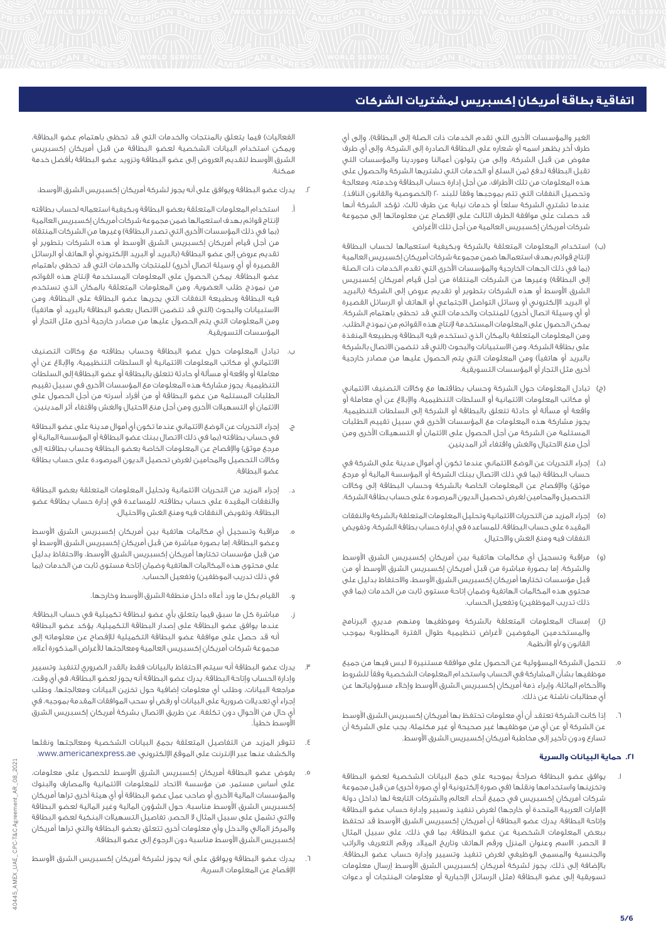الغير والمؤسسات الأخرى التي تقدم الخدمات ذات الصلة إلى البطاقة)، وإلى أي طرف آخر يظهر اسمه أو شعاره على البطاقة الصادرة إلى الشركة، وإلى أي طرف مفوض من قبل الشركة، وإلى من يتولون أعمالنا وموردينا والمؤسسات التي تقبل البطاقة لدفع ثمن السلع أو الخدمات التي تشتريها الشركة والحصول على هذه المعلومات من تلك األطراف، من أجل إدارة حساب البطاقة وخدمته، ومعالجة وتحصيل النفقات التي تتم بموجبها وفقاً للبند ٢٠ (الخصوصية والقانون النافذ). عندما تشتري الشركة سلعاً أو خدمات نيابة عن طرف ثالث، تؤكد الشركة أنها قد حصلت على موافقة الطرف الثالث على اإلفصاح عن معلوماتها إلى مجموعة شركات أمريكان إكسبريس العالمية من أجل تلك األغراض.

- )ب( استخدام المعلومات المتعلقة بالشركة وبكيفية استعمالها لحساب البطاقة إلنتاج قوائم بهدف استعمالها ضمن مجموعة شركات أمريكان إكسبريس العالمية )بما في ذلك الجهات الخارجية والمؤسسات األخرى التي تقدم الخدمات ذات الصلة إلى البطاقة) وغيرها من الشركات المنتقاة من أجل قيام أمريكان إكسبريس الشرق الأوسط أو هذه الشركات بتطوير أو تقديم عروض إلى الشركة (بالبريد أو البريد اإللكتروني أو وسائل التواصل االجتماعي أو الهاتف أو الرسائل القصيرة أو أي وسيلة اتصال أخرى) للمنتجات والخدمات التي قد تحظى باهتمام الشركة. يمكن الحصول على المعلومات المستخدمة إلنتاج هذه القوائم من نموذج الطلب، ومن المعلومات المتعلقة بالمكان الذي تستخدم فيه البطاقة وبطبيعة المنفذة على بطاقة الشركة، ومن الاستبيانات والبحوث (التي قد تتضمن الاتصال بالشركة بالبريد أو هاتفياً) ومن المعلومات التي يتم الحصول عليها من مصادر خارجية أخرى مثل التجار أو المؤسسات التسويقية.
- )ج( تبادل المعلومات حول الشركة وحساب بطاقتها مع وكاالت التصنيف االئتماني أو مكاتب المعلومات االئتمانية أو السلطات التنظيمية، واإلبالغ عن أي معاملة أو واقعة أو مسألة أو حادثة تتعلق بالبطاقة أو الشركة إلى السلطات التنظيمية. يجوز مشاركة هذه المعلومات مع المؤسسات األخرى في سبيل تقييم الطلبات المستلمة من الشركة من أجل الحصول على االئتمان أو التسهيالت األخرى ومن أجل منع االحتيال والغش واقتفاء أثر المدينين.
- )د( إجراء التحريات عن الوضع االئتماني عندما تكون أي أموال مدينة على الشركة في .<br>حساب البطاقة (بما في ذلك الاتصال ببنك الشركة أو المؤسسة المالية أو مرجع موثق) والإفصاح عن المعلومات الخاصة بالشركة وحساب البطاقة إلى وكالات التحصيل والمحامين لغرض تحصيل الديون المرصودة على حساب بطاقة الشركة.
- )ه( إجراء المزيد من التحريات االئتمانية وتحليل المعلومات المتعلقة بالشركة والنفقات المقيدة على حساب البطاقة، للمساعدة في إدارة حساب بطاقة الشركة، وتفويض النفقات فيه ومنع الغش واالحتيال.
- )و( مراقبة وتسجيل أي مكالمات هاتفية بين أمريكان إكسبريس الشرق األوسط والشركة، إما بصورة مباشرة من قبل أمريكان إكسبريس الشرق األوسط أو من قبل مؤسسات تختارها أمريكان إكسبريس الشرق األوسط، واالحتفاظ بدليل على محتوى هذه المكالمات الهاتفية وضمان إتاحة مستوى ثابت من الخدمات )بما في ذلك تدريب الموظفين) وتفعيل الحساب.
- إمساك المعلومات المتعلقة بالشركة وموظفيها ومنهم مديري البرنامج والمستخدمين المفوضين ألغراض تنظيمية طوال الفترة المطلوبة بموجب القانون و/أو األنظمة.
- .5 تتحمل الشركة المسؤولية عن الحصول على موافقة مستنيرة ال لبس فيها من جميع موظفيها بشأن المشاركة في الحساب واستخدام المعلومات الشخصية وفقاً للشروط واألحكام الماثلة، وإبراء ذمة أمريكان إكسبريس الشرق األوسط وإخالء مسؤولياتها عن أي مطالبات ناشئة عن ذلك.
- .6 إذا كانت الشركة تعتقد أن أي معلومات تحتفظ بها أمريكان إكسبريس الشرق األوسط عن الشركة أو عن أي من موظفيها غير صحيحة أو غير مكتملة، يجب على الشركة أن تسارع ودون تأخير إلى مخاطبة أمريكان إكسبريس الشرق الأوسط.

## **.21 حماية البيانات والسرية**

.1 يوافق عضو البطاقة صراحةً بموجبه على جمع البيانات الشخصية لعضو البطاقة وتخزينها واستخدامها ونقلها (في صورة إلكترونية أو أي صورة أخرى) من قبل مجموعة شركات أمريكان إكسبريس في جميع أنحاء العالم والشركات التابعة لها )داخل دولة الإمارات العربية المتحدة أو خارجها) لغرض تنفيذ وتسيير وإدارة حساب عضو البطاقة وإتاحة البطاقة. يدرك عضو البطاقة أن أمريكان إكسبريس الشرق األوسط قد تحتفظ ببعض المعلومات الشخصية عن عضو البطاقة، بما في ذلك، على سبيل المثال ال الحصر، االسم وعنوان المنزل ورقم الهاتف وتاريخ الميالد ورقم التعريف والراتب والجنسية والمسمى الوظيفي لغرض تنفيذ وتسيير وإدارة حساب عضو البطاقة. باإلضافة إلى ذلك، يجوز لشركة أمريكان إكسبريس الشرق األوسط إرسال معلومات تسويقية إلى عضو البطاقة (مثل الرسائل الإخبارية أو معلومات المنتجات أو دعوات

الفعاليات) فيما يتعلق بالمنتجات والخدمات التى قد تحظى باهتمام عضو البطاقة، ويمكن استخدام البيانات الشخصية لعضو البطاقة من قبل أمريكان إكسبريس الشرق األوسط لتقديم العروض إلى عضو البطاقة وتزويد عضو البطاقة بأفضل خدمة ممكنة.

- .2 يدرك عضو البطاقة ويوافق على أنه يجوز لشركة أمريكان إكسبريس الشرق األوسط:
- أ. استخدام المعلومات المتعلقة بعضو البطاقة وبكيفية استعماله لحساب بطاقته إلنتاج قوائم بهدف استعمالها ضمن مجموعة شركات أمريكان إكسبريس العالمية (بما في ذلك المؤسسات الأخرى التي تصدر البطاقة) وغيرها من الشركات المنتقاة من أجل قيام أمريكان إكسبريس الشرق األوسط أو هذه الشركات بتطوير أو تقديم عروض إلى عضو البطاقة (بالبريد أو البريد الإلكتروني أو الهاتف أو الرسائل القصيرة أو أي وسيلة اتصال أخرى) للمنتجات والخدمات التي قد تحظى باهتمام عضو البطاقة. يمكن الحصول على المعلومات المستخدمة إلنتاج هذه القوائم من نموذج طلب العضوية، ومن المعلومات المتعلقة بالمكان الذي تستخدم فيه البطاقة وبطبيعة النفقات التي يجريها عضو البطاقة على البطاقة، ومن الاستبيانات والبحوث (التي قد تتضمن الاتصال بعضو البطاقة بالبريد أو هاتفياً) ومن المعلومات التي يتم الحصول عليها من مصادر خارجية أخرى مثل التجار أو المؤسسات التسويقية.
- ب. تبادل المعلومات حول عضو البطاقة وحساب بطاقته مع وكاالت التصنيف االئتماني أو مكاتب المعلومات االئتمانية أو السلطات التنظيمية، واإلبالغ عن أي معاملة أو واقعة أو مسألة أو حادثة تتعلق بالبطاقة أو عضو البطاقة إلى السلطات التنظيمية. يجوز مشاركة هذه المعلومات مع المؤسسات األخرى في سبيل تقييم الطلبات المستلمة من عضو البطاقة أو من أفراد أسرته من أجل الحصول على الائتمان أو التسهيلات الأخرى ومن أجل منع الاحتيال والغش واقتفاء أثر المدينين.
- ج. إجراء التحريات عن الوضع االئتماني عندما تكون أي أموال مدينة على عضو البطاقة في حساب بطاقته )بما في ذلك االتصال ببنك عضو البطاقة أو المؤسسة المالية أو مرجع موثق) والإفصاح عن المعلومات الخاصة بعضو البطاقة وحساب بطاقته إلى وكاالت التحصيل والمحامين لغرض تحصيل الديون المرصودة على حساب بطاقة عضو البطاقة.
- د. إجراء المزيد من التحريات االئتمانية وتحليل المعلومات المتعلقة بعضو البطاقة والنفقات المقيدة على حساب بطاقته، للمساعدة في إدارة حساب بطاقة عضو البطاقة، وتفويض النفقات فيه ومنع الغش واالحتيال.
- ه. مراقبة وتسجيل أي مكالمات هاتفية بين أمريكان إكسبريس الشرق األوسط وعضو البطاقة، إما بصورة مباشرة من قبل أمريكان إكسبريس الشرق األوسط أو من قبل مؤسسات تختارها أمريكان إكسبريس الشرق األوسط، واالحتفاظ بدليل على محتوى هذه المكالمات الهاتفية وضمان إتاحة مستوى ثابت من الخدمات )بما في ذلك تدريب الموظفين) وتفعيل الحساب.
	- و. القيام بكل ما ورد أعاله داخل منطقة الشرق األوسط وخارجها.
- ز. مباشرة كل ما سبق فيما يتعلق بأي عضو لبطاقة تكميلية في حساب البطاقة. عندما يوافق عضو البطاقة على إصدار البطاقة التكميلية، يؤكد عضو البطاقة أنه قد حصل على موافقة عضو البطاقة التكميلية لإلفصاح عن معلوماته إلى مجموعة شركات أمريكان إكسبريس العالمية ومعالجتها لألغراض المذكورة أعاله.
- .3 يدرك عضو البطاقة أنه سيتم االحتفاظ بالبيانات فقط بالقدر الضروري لتنفيذ وتسيير وإدارة الحساب وإتاحة البطاقة. يدرك عضو البطاقة أنه يجوز لعضو البطاقة، في أي وقت، مراجعة البيانات، وطلب أي معلومات إضافية حول تخزين البيانات ومعالجتها، وطلب إجراء أي تعديالت ضرورية على البيانات أو رفض أو سحب الموافقات المقدمة بموجبه، في أي حال من األحوال دون تكلفة، عن طريق االتصال بشركة أمريكان إكسبريس الشرق األوسط خطيا.ً
- .4 تتوفر المزيد من التفاصيل المتعلقة بجمع البيانات الشخصية ومعالجتها ونقلها والكشف عنها عبر اإلنترنت على الموقع اإللكتروني: ae.americanexpress.www.
- .5 يفوض عضو البطاقة أمريكان إكسبريس الشرق األوسط للحصول على معلومات، على أساس مستمر، من مؤسسة االتحاد للمعلومات االئتمانية والمصارف والبنوك والمؤسسات المالية األخرى أو صاحب عمل عضو البطاقة أو أي هيئة أخرى تراها أمريكان إكسبريس الشرق األوسط مناسبة، حول الشؤون المالية وغير المالية لعضو البطاقة والتي تشمل على سبيل المثال ال الحصر، تفاصيل التسهيالت البنكية لعضو البطاقة والمركز المالي والدخل وأي معلومات أخرى تتعلق بعضو البطاقة والتي تراها أمريكان إكسبريس الشرق األوسط مناسبة دون الرجوع إلى عضو البطاقة.
- .6 يدرك عضو البطاقة ويوافق على أنه يجوز لشركة أمريكان إكسبريس الشرق األوسط اإلفصاح عن المعلومات السرية: